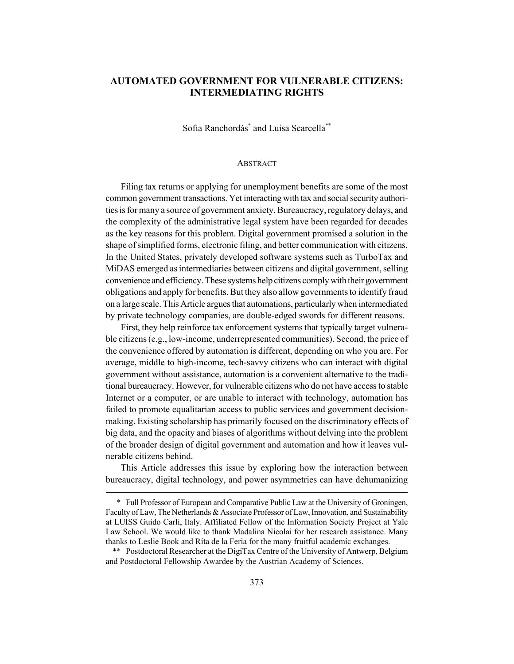# **AUTOMATED GOVERNMENT FOR VULNERABLE CITIZENS: INTERMEDIATING RIGHTS**

Sofia Ranchordás<sup>\*</sup> and Luisa Scarcella<sup>\*\*</sup>

#### **ABSTRACT**

Filing tax returns or applying for unemployment benefits are some of the most common government transactions. Yet interacting with tax and social security authorities is for many a source of government anxiety. Bureaucracy, regulatory delays, and the complexity of the administrative legal system have been regarded for decades as the key reasons for this problem. Digital government promised a solution in the shape of simplified forms, electronic filing, and better communication with citizens. In the United States, privately developed software systems such as TurboTax and MiDAS emerged as intermediaries between citizens and digital government, selling convenience and efficiency. These systems help citizens comply with their government obligations and apply for benefits. But they also allow governments to identify fraud on a large scale. This Article argues that automations, particularly when intermediated by private technology companies, are double-edged swords for different reasons.

First, they help reinforce tax enforcement systems that typically target vulnerable citizens (e.g., low-income, underrepresented communities). Second, the price of the convenience offered by automation is different, depending on who you are. For average, middle to high-income, tech-savvy citizens who can interact with digital government without assistance, automation is a convenient alternative to the traditional bureaucracy. However, for vulnerable citizens who do not have access to stable Internet or a computer, or are unable to interact with technology, automation has failed to promote equalitarian access to public services and government decisionmaking. Existing scholarship has primarily focused on the discriminatory effects of big data, and the opacity and biases of algorithms without delving into the problem of the broader design of digital government and automation and how it leaves vulnerable citizens behind.

This Article addresses this issue by exploring how the interaction between bureaucracy, digital technology, and power asymmetries can have dehumanizing

<sup>\*</sup> Full Professor of European and Comparative Public Law at the University of Groningen, Faculty of Law, The Netherlands & Associate Professor of Law, Innovation, and Sustainability at LUISS Guido Carli, Italy. Affiliated Fellow of the Information Society Project at Yale Law School. We would like to thank Madalina Nicolai for her research assistance. Many thanks to Leslie Book and Rita de la Feria for the many fruitful academic exchanges.

<sup>\*\*</sup> Postdoctoral Researcher at the DigiTax Centre of the University of Antwerp, Belgium and Postdoctoral Fellowship Awardee by the Austrian Academy of Sciences.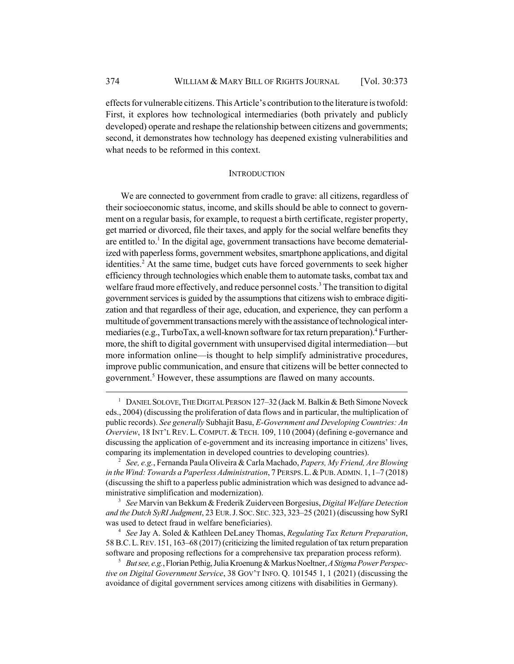effects for vulnerable citizens. This Article's contribution to the literature is twofold: First, it explores how technological intermediaries (both privately and publicly developed) operate and reshape the relationship between citizens and governments; second, it demonstrates how technology has deepened existing vulnerabilities and what needs to be reformed in this context.

### **INTRODUCTION**

We are connected to government from cradle to grave: all citizens, regardless of their socioeconomic status, income, and skills should be able to connect to government on a regular basis, for example, to request a birth certificate, register property, get married or divorced, file their taxes, and apply for the social welfare benefits they are entitled to.<sup>1</sup> In the digital age, government transactions have become dematerialized with paperless forms, government websites, smartphone applications, and digital identities.<sup>2</sup> At the same time, budget cuts have forced governments to seek higher efficiency through technologies which enable them to automate tasks, combat tax and welfare fraud more effectively, and reduce personnel costs.<sup>3</sup> The transition to digital government services is guided by the assumptions that citizens wish to embrace digitization and that regardless of their age, education, and experience, they can perform a multitude of government transactions merely with the assistance of technological intermediaries (e.g., TurboTax, a well-known software for tax return preparation).<sup>4</sup> Furthermore, the shift to digital government with unsupervised digital intermediation—but more information online—is thought to help simplify administrative procedures, improve public communication, and ensure that citizens will be better connected to government.<sup>5</sup> However, these assumptions are flawed on many accounts.

<sup>&</sup>lt;sup>1</sup> DANIEL SOLOVE, THE DIGITAL PERSON 127-32 (Jack M. Balkin & Beth Simone Noveck eds., 2004) (discussing the proliferation of data flows and in particular, the multiplication of public records). *See generally* Subhajit Basu, *E-Government and Developing Countries: An Overview*, 18 INT'L REV. L. COMPUT. & TECH. 109, 110 (2004) (defining e-governance and discussing the application of e-government and its increasing importance in citizens' lives, comparing its implementation in developed countries to developing countries).

<sup>2</sup> *See, e.g.*, Fernanda Paula Oliveira & Carla Machado, *Papers, My Friend, Are Blowing in the Wind: Towards a Paperless Administration*, 7 PERSPS.L.&PUB.ADMIN. 1, 1–7 (2018) (discussing the shift to a paperless public administration which was designed to advance administrative simplification and modernization).

<sup>3</sup> *See* Marvin van Bekkum & Frederik Zuiderveen Borgesius, *Digital Welfare Detection and the Dutch SyRI Judgment*, 23 EUR.J.SOC.SEC. 323, 323–25 (2021) (discussing how SyRI was used to detect fraud in welfare beneficiaries).

<sup>4</sup> *See* Jay A. Soled & Kathleen DeLaney Thomas, *Regulating Tax Return Preparation*, 58 B.C.L.REV. 151, 163–68 (2017) (criticizing the limited regulation of tax return preparation software and proposing reflections for a comprehensive tax preparation process reform).

<sup>5</sup> *But see, e.g.*, Florian Pethig, Julia Kroenung & Markus Noeltner, *A Stigma Power Perspective on Digital Government Service*, 38 GOV'T INFO. Q. 101545 1, 1 (2021) (discussing the avoidance of digital government services among citizens with disabilities in Germany).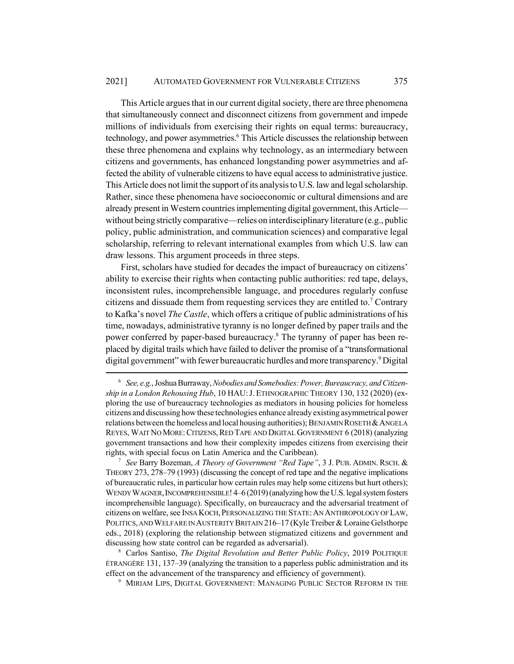This Article argues that in our current digital society, there are three phenomena that simultaneously connect and disconnect citizens from government and impede millions of individuals from exercising their rights on equal terms: bureaucracy, technology, and power asymmetries.<sup>6</sup> This Article discusses the relationship between these three phenomena and explains why technology, as an intermediary between citizens and governments, has enhanced longstanding power asymmetries and affected the ability of vulnerable citizens to have equal access to administrative justice. This Article does not limit the support of its analysis to U.S. law and legal scholarship. Rather, since these phenomena have socioeconomic or cultural dimensions and are already present in Western countries implementing digital government, this Article without being strictly comparative—relies on interdisciplinary literature (e.g., public policy, public administration, and communication sciences) and comparative legal scholarship, referring to relevant international examples from which U.S. law can draw lessons. This argument proceeds in three steps.

First, scholars have studied for decades the impact of bureaucracy on citizens' ability to exercise their rights when contacting public authorities: red tape, delays, inconsistent rules, incomprehensible language, and procedures regularly confuse citizens and dissuade them from requesting services they are entitled to.<sup>7</sup> Contrary to Kafka's novel *The Castle*, which offers a critique of public administrations of his time, nowadays, administrative tyranny is no longer defined by paper trails and the power conferred by paper-based bureaucracy.<sup>8</sup> The tyranny of paper has been replaced by digital trails which have failed to deliver the promise of a "transformational digital government" with fewer bureaucratic hurdles and more transparency.<sup>9</sup> Digital

<sup>6</sup> *See, e.g.*, Joshua Burraway, *Nobodies and Somebodies: Power, Bureaucracy, and Citizenship in a London Rehousing Hub*, 10 HAU:J. ETHNOGRAPHIC THEORY 130, 132 (2020) (exploring the use of bureaucracy technologies as mediators in housing policies for homeless citizens and discussing how these technologies enhance already existing asymmetrical power relations between the homeless and local housing authorities); BENJAMIN ROSETH & ANGELA REYES, WAIT NO MORE: CITIZENS, RED TAPE AND DIGITAL GOVERNMENT 6 (2018) (analyzing government transactions and how their complexity impedes citizens from exercising their rights, with special focus on Latin America and the Caribbean).

<sup>7</sup> *See* Barry Bozeman, *A Theory of Government "Red Tape"*, 3 J. PUB. ADMIN. RSCH. & THEORY 273, 278–79 (1993) (discussing the concept of red tape and the negative implications of bureaucratic rules, in particular how certain rules may help some citizens but hurt others); WENDY WAGNER, INCOMPREHENSIBLE!  $4-6(2019)$  (analyzing how the U.S. legal system fosters incomprehensible language). Specifically, on bureaucracy and the adversarial treatment of citizens on welfare, see INSA KOCH,PERSONALIZING THE STATE:AN ANTHROPOLOGY OF LAW, POLITICS, AND WELFARE IN AUSTERITY BRITAIN 216–17 (Kyle Treiber & Loraine Gelsthorpe eds., 2018) (exploring the relationship between stigmatized citizens and government and discussing how state control can be regarded as adversarial).

<sup>8</sup> Carlos Santiso, *The Digital Revolution and Better Public Policy*, 2019 POLITIQUE ÉTRANGÈRE 131, 137–39 (analyzing the transition to a paperless public administration and its effect on the advancement of the transparency and efficiency of government).

<sup>&</sup>lt;sup>9</sup> MIRIAM LIPS, DIGITAL GOVERNMENT: MANAGING PUBLIC SECTOR REFORM IN THE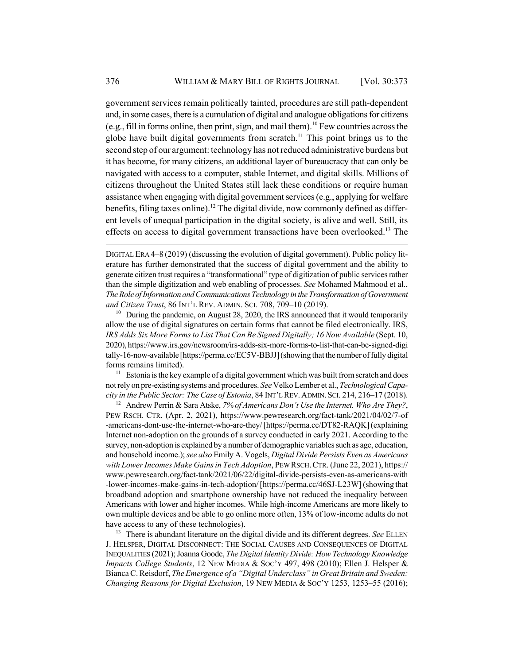government services remain politically tainted, procedures are still path-dependent and, in some cases, there is a cumulation of digital and analogue obligations for citizens (e.g., fill in forms online, then print, sign, and mail them).<sup>10</sup> Few countries across the globe have built digital governments from scratch.<sup>11</sup> This point brings us to the second step of our argument: technology has not reduced administrative burdens but it has become, for many citizens, an additional layer of bureaucracy that can only be navigated with access to a computer, stable Internet, and digital skills. Millions of citizens throughout the United States still lack these conditions or require human assistance when engaging with digital government services (e.g., applying for welfare benefits, filing taxes online).<sup>12</sup> The digital divide, now commonly defined as different levels of unequal participation in the digital society, is alive and well. Still, its effects on access to digital government transactions have been overlooked.<sup>13</sup> The

<sup>10</sup> During the pandemic, on August 28, 2020, the IRS announced that it would temporarily allow the use of digital signatures on certain forms that cannot be filed electronically. IRS, *IRS Adds Six More Forms to List That Can Be Signed Digitally; 16 Now Available* (Sept. 10, 2020), https://www.irs.gov/newsroom/irs-adds-six-more-forms-to-list-that-can-be-signed-digi tally-16-now-available [https://perma.cc/EC5V-BBJJ] (showing that the number of fully digital forms remains limited).

 $11$  Estonia is the key example of a digital government which was built from scratch and does not rely on pre-existing systems and procedures. *See* Velko Lember et al., *Technological Capacity in the Public Sector: The Case of Estonia*, 84 INT'L REV.ADMIN.SCI. 214, 216–17 (2018).

<sup>12</sup> Andrew Perrin & Sara Atske, *7% of Americans Don't Use the Internet. Who Are They?*, PEW RSCH. CTR. (Apr. 2, 2021), https://www.pewresearch.org/fact-tank/2021/04/02/7-of -americans-dont-use-the-internet-who-are-they/ [https://perma.cc/DT82-RAQK] (explaining Internet non-adoption on the grounds of a survey conducted in early 2021. According to the survey, non-adoption is explained by a number of demographic variables such as age, education, and household income.); *see also* Emily A. Vogels, *Digital Divide Persists Even as Americans with Lower Incomes Make Gains in Tech Adoption*, PEW RSCH.CTR. (June 22, 2021), https:// www.pewresearch.org/fact-tank/2021/06/22/digital-divide-persists-even-as-americans-with -lower-incomes-make-gains-in-tech-adoption/ [https://perma.cc/46SJ-L23W] (showing that broadband adoption and smartphone ownership have not reduced the inequality between Americans with lower and higher incomes. While high-income Americans are more likely to own multiple devices and be able to go online more often, 13% of low-income adults do not have access to any of these technologies).

<sup>13</sup> There is abundant literature on the digital divide and its different degrees. See ELLEN J. HELSPER, DIGITAL DISCONNECT: THE SOCIAL CAUSES AND CONSEQUENCES OF DIGITAL INEQUALITIES (2021); Joanna Goode, *The Digital Identity Divide: How Technology Knowledge Impacts College Students*, 12 NEW MEDIA & SOC'Y 497, 498 (2010); Ellen J. Helsper & Bianca C. Reisdorf, *The Emergence of a "Digital Underclass" in Great Britain and Sweden: Changing Reasons for Digital Exclusion*, 19 NEW MEDIA & SOC'Y 1253, 1253–55 (2016);

DIGITAL ERA 4–8 (2019) (discussing the evolution of digital government). Public policy literature has further demonstrated that the success of digital government and the ability to generate citizen trust requires a "transformational" type of digitization of public services rather than the simple digitization and web enabling of processes. *See* Mohamed Mahmood et al., *The Role of Information and Communications Technology in the Transformation of Government and Citizen Trust*, 86 INT'L REV. ADMIN. SCI. 708, 709–10 (2019).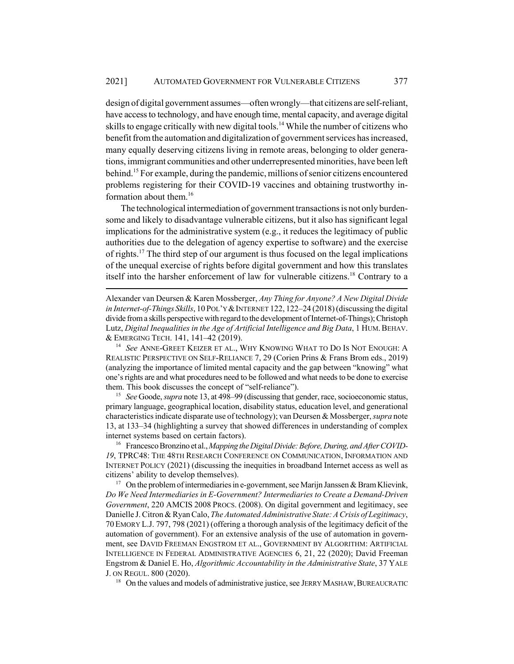design of digital government assumes—often wrongly—that citizens are self-reliant, have access to technology, and have enough time, mental capacity, and average digital skills to engage critically with new digital tools.<sup>14</sup> While the number of citizens who benefit from the automation and digitalization of government services has increased, many equally deserving citizens living in remote areas, belonging to older generations, immigrant communities and other underrepresented minorities, have been left behind.15 For example, during the pandemic, millions of senior citizens encountered problems registering for their COVID-19 vaccines and obtaining trustworthy information about them.<sup>16</sup>

The technological intermediation of government transactions is not only burdensome and likely to disadvantage vulnerable citizens, but it also has significant legal implications for the administrative system (e.g., it reduces the legitimacy of public authorities due to the delegation of agency expertise to software) and the exercise of rights.17 The third step of our argument is thus focused on the legal implications of the unequal exercise of rights before digital government and how this translates itself into the harsher enforcement of law for vulnerable citizens.<sup>18</sup> Contrary to a

Alexander van Deursen & Karen Mossberger, *Any Thing for Anyone? A New Digital Divide in Internet-of-Things Skills*, 10 POL'Y &INTERNET 122, 122–24 (2018) (discussing the digital divide from a skills perspective with regard to the development of Internet-of-Things); Christoph Lutz, *Digital Inequalities in the Age of Artificial Intelligence and Big Data*, 1 HUM.BEHAV. & EMERGING TECH. 141, 141–42 (2019).

<sup>14</sup> *See* ANNE-GREET KEIZER ET AL., WHY KNOWING WHAT TO DO IS NOT ENOUGH: A REALISTIC PERSPECTIVE ON SELF-RELIANCE 7, 29 (Corien Prins & Frans Brom eds., 2019) (analyzing the importance of limited mental capacity and the gap between "knowing" what one's rights are and what procedures need to be followed and what needs to be done to exercise them. This book discusses the concept of "self-reliance").

<sup>15</sup> *See* Goode, *supra* note 13, at 498–99 (discussing that gender, race, socioeconomic status, primary language, geographical location, disability status, education level, and generational characteristics indicate disparate use of technology); van Deursen & Mossberger, *supra* note 13, at 133–34 (highlighting a survey that showed differences in understanding of complex internet systems based on certain factors).

<sup>16</sup> Francesco Bronzino et al., *Mapping the Digital Divide: Before, During, and After COVID-19*, TPRC48: THE 48TH RESEARCH CONFERENCE ON COMMUNICATION, INFORMATION AND INTERNET POLICY (2021) (discussing the inequities in broadband Internet access as well as citizens' ability to develop themselves).

<sup>17</sup> On the problem of intermediaries in e-government, see Marijn Janssen & Bram Klievink, *Do We Need Intermediaries in E-Government? Intermediaries to Create a Demand-Driven Government*, 220 AMCIS 2008 PROCS. (2008). On digital government and legitimacy, see Danielle J. Citron & Ryan Calo, *The Automated Administrative State: A Crisis of Legitimacy*, 70 EMORY L.J. 797, 798 (2021) (offering a thorough analysis of the legitimacy deficit of the automation of government). For an extensive analysis of the use of automation in government, see DAVID FREEMAN ENGSTROM ET AL., GOVERNMENT BY ALGORITHM: ARTIFICIAL INTELLIGENCE IN FEDERAL ADMINISTRATIVE AGENCIES 6, 21, 22 (2020); David Freeman Engstrom & Daniel E. Ho, *Algorithmic Accountability in the Administrative State*, 37 YALE J. ON REGUL. 800 (2020).

<sup>18</sup> On the values and models of administrative justice, see JERRY MASHAW, BUREAUCRATIC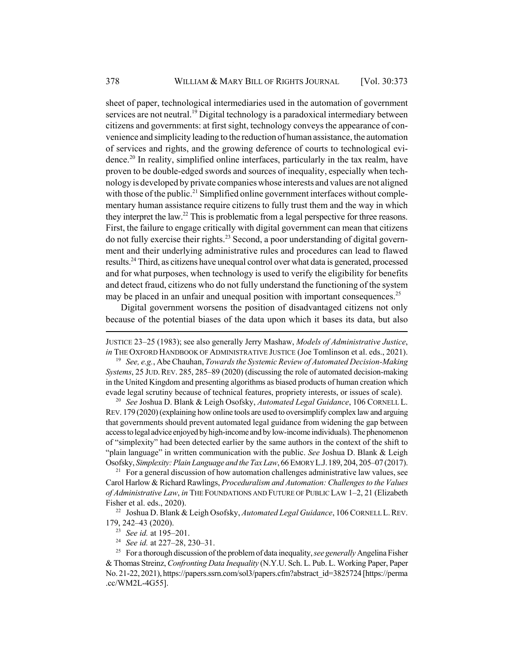sheet of paper, technological intermediaries used in the automation of government services are not neutral.<sup>19</sup> Digital technology is a paradoxical intermediary between citizens and governments: at first sight, technology conveys the appearance of convenience and simplicity leading to the reduction of human assistance, the automation of services and rights, and the growing deference of courts to technological evidence.20 In reality, simplified online interfaces, particularly in the tax realm, have proven to be double-edged swords and sources of inequality, especially when technology is developed by private companies whose interests and values are not aligned with those of the public.<sup>21</sup> Simplified online government interfaces without complementary human assistance require citizens to fully trust them and the way in which they interpret the law.<sup>22</sup> This is problematic from a legal perspective for three reasons. First, the failure to engage critically with digital government can mean that citizens do not fully exercise their rights.<sup>23</sup> Second, a poor understanding of digital government and their underlying administrative rules and procedures can lead to flawed results.24 Third, as citizens have unequal control over what data is generated, processed and for what purposes, when technology is used to verify the eligibility for benefits and detect fraud, citizens who do not fully understand the functioning of the system may be placed in an unfair and unequal position with important consequences.<sup>25</sup>

Digital government worsens the position of disadvantaged citizens not only because of the potential biases of the data upon which it bases its data, but also

JUSTICE 23–25 (1983); see also generally Jerry Mashaw, *Models of Administrative Justice*, *in* THE OXFORD HANDBOOK OF ADMINISTRATIVE JUSTICE (Joe Tomlinson et al. eds., 2021).

<sup>19</sup> *See, e.g.*, Abe Chauhan, *Towards the Systemic Review of Automated Decision-Making Systems*, 25 JUD.REV. 285, 285–89 (2020) (discussing the role of automated decision-making in the United Kingdom and presenting algorithms as biased products of human creation which evade legal scrutiny because of technical features, propriety interests, or issues of scale).

<sup>20</sup> *See* Joshua D. Blank & Leigh Osofsky, *Automated Legal Guidance*, 106 CORNELL L. REV. 179 (2020) (explaining how online tools are used to oversimplify complex law and arguing that governments should prevent automated legal guidance from widening the gap between access to legal advice enjoyed by high-income and by low-income individuals). The phenomenon of "simplexity" had been detected earlier by the same authors in the context of the shift to "plain language" in written communication with the public. *See* Joshua D. Blank & Leigh Osofsky, *Simplexity: Plain Language and the Tax Law*, 66 EMORY L.J.189, 204, 205–07 (2017).

 $21$  For a general discussion of how automation challenges administrative law values, see Carol Harlow & Richard Rawlings, *Proceduralism and Automation: Challenges to the Values of Administrative Law*, *in* THE FOUNDATIONS AND FUTURE OF PUBLIC LAW 1–2, 21 (Elizabeth Fisher et al. eds., 2020).

<sup>22</sup> Joshua D. Blank & Leigh Osofsky, *Automated Legal Guidance*, 106 CORNELL L. REV. 179, 242–43 (2020).

<sup>23</sup> *See id.* at 195–201.

<sup>24</sup> *See id.* at 227–28, 230–31.

<sup>25</sup> For a thorough discussion of the problem of data inequality, *see generally* Angelina Fisher & Thomas Streinz, *Confronting Data Inequality* (N.Y.U. Sch. L. Pub. L. Working Paper, Paper No. 21-22, 2021), https://papers.ssrn.com/sol3/papers.cfm?abstract\_id=3825724 [https://perma .cc/WM2L-4G55].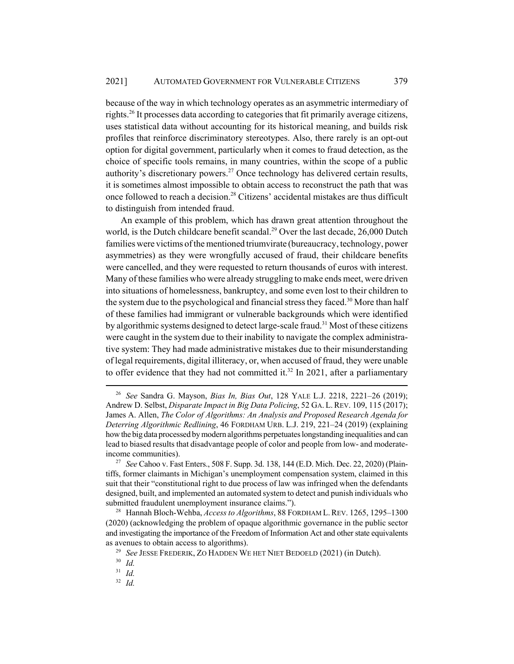because of the way in which technology operates as an asymmetric intermediary of rights.26 It processes data according to categories that fit primarily average citizens, uses statistical data without accounting for its historical meaning, and builds risk profiles that reinforce discriminatory stereotypes. Also, there rarely is an opt-out option for digital government, particularly when it comes to fraud detection, as the choice of specific tools remains, in many countries, within the scope of a public authority's discretionary powers.<sup>27</sup> Once technology has delivered certain results, it is sometimes almost impossible to obtain access to reconstruct the path that was once followed to reach a decision.<sup>28</sup> Citizens' accidental mistakes are thus difficult to distinguish from intended fraud.

An example of this problem, which has drawn great attention throughout the world, is the Dutch childcare benefit scandal.<sup>29</sup> Over the last decade, 26,000 Dutch families were victims of the mentioned triumvirate (bureaucracy, technology, power asymmetries) as they were wrongfully accused of fraud, their childcare benefits were cancelled, and they were requested to return thousands of euros with interest. Many of these families who were already struggling to make ends meet, were driven into situations of homelessness, bankruptcy, and some even lost to their children to the system due to the psychological and financial stress they faced.<sup>30</sup> More than half of these families had immigrant or vulnerable backgrounds which were identified by algorithmic systems designed to detect large-scale fraud.31 Most of these citizens were caught in the system due to their inability to navigate the complex administrative system: They had made administrative mistakes due to their misunderstanding of legal requirements, digital illiteracy, or, when accused of fraud, they were unable to offer evidence that they had not committed it.<sup>32</sup> In 2021, after a parliamentary

<sup>26</sup> *See* Sandra G. Mayson, *Bias In, Bias Out*, 128 YALE L.J. 2218, 2221–26 (2019); Andrew D. Selbst, *Disparate Impact in Big Data Policing*, 52 GA. L.REV. 109, 115 (2017); James A. Allen, *The Color of Algorithms: An Analysis and Proposed Research Agenda for Deterring Algorithmic Redlining*, 46 FORDHAM URB. L.J. 219, 221–24 (2019) (explaining how the big data processed by modern algorithms perpetuates longstanding inequalities and can lead to biased results that disadvantage people of color and people from low- and moderateincome communities).

<sup>27</sup> *See* Cahoo v. Fast Enters., 508 F. Supp. 3d. 138, 144 (E.D. Mich. Dec. 22, 2020) (Plaintiffs, former claimants in Michigan's unemployment compensation system, claimed in this suit that their "constitutional right to due process of law was infringed when the defendants designed, built, and implemented an automated system to detect and punish individuals who submitted fraudulent unemployment insurance claims.").

<sup>28</sup> Hannah Bloch-Wehba, *Access to Algorithms*, 88 FORDHAM L.REV. 1265, 1295–1300 (2020) (acknowledging the problem of opaque algorithmic governance in the public sector and investigating the importance of the Freedom of Information Act and other state equivalents as avenues to obtain access to algorithms).

<sup>29</sup> *See* JESSE FREDERIK, ZO HADDEN WE HET NIET BEDOELD (2021) (in Dutch).

<sup>30</sup> *Id.*

<sup>31</sup> *Id.*

<sup>32</sup> *Id.*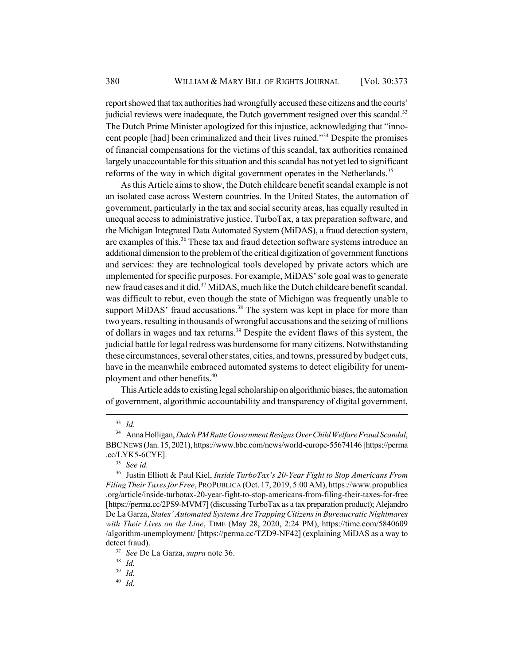report showed that tax authorities had wrongfully accused these citizens and the courts' judicial reviews were inadequate, the Dutch government resigned over this scandal.<sup>33</sup> The Dutch Prime Minister apologized for this injustice, acknowledging that "innocent people [had] been criminalized and their lives ruined."34 Despite the promises of financial compensations for the victims of this scandal, tax authorities remained largely unaccountable for this situation and this scandal has not yet led to significant reforms of the way in which digital government operates in the Netherlands.<sup>35</sup>

As this Article aims to show, the Dutch childcare benefit scandal example is not an isolated case across Western countries. In the United States, the automation of government, particularly in the tax and social security areas, has equally resulted in unequal access to administrative justice. TurboTax, a tax preparation software, and the Michigan Integrated Data Automated System (MiDAS), a fraud detection system, are examples of this.<sup>36</sup> These tax and fraud detection software systems introduce an additional dimension to the problem of the critical digitization of government functions and services: they are technological tools developed by private actors which are implemented for specific purposes. For example, MiDAS' sole goal was to generate new fraud cases and it did.<sup>37</sup> MiDAS, much like the Dutch childcare benefit scandal, was difficult to rebut, even though the state of Michigan was frequently unable to support MiDAS' fraud accusations.<sup>38</sup> The system was kept in place for more than two years, resulting in thousands of wrongful accusations and the seizing of millions of dollars in wages and tax returns.<sup>39</sup> Despite the evident flaws of this system, the judicial battle for legal redress was burdensome for many citizens. Notwithstanding these circumstances, several other states, cities, and towns, pressured by budget cuts, have in the meanwhile embraced automated systems to detect eligibility for unemployment and other benefits.<sup>40</sup>

This Article adds to existing legal scholarship on algorithmic biases, the automation of government, algorithmic accountability and transparency of digital government,

<sup>33</sup> *Id.*

<sup>34</sup> Anna Holligan, *Dutch PM Rutte Government Resigns Over Child Welfare Fraud Scandal*, BBCNEWS (Jan. 15, 2021), https://www.bbc.com/news/world-europe-55674146 [https://perma .cc/LYK5-6CYE].

<sup>35</sup> *See id.*

<sup>36</sup> Justin Elliott & Paul Kiel, *Inside TurboTax's 20-Year Fight to Stop Americans From Filing Their Taxes for Free*, PROPUBLICA (Oct. 17, 2019, 5:00 AM), https://www.propublica .org/article/inside-turbotax-20-year-fight-to-stop-americans-from-filing-their-taxes-for-free [https://perma.cc/2PS9-MVM7] (discussing TurboTax as a tax preparation product); Alejandro De La Garza, *States' Automated Systems Are Trapping Citizens in Bureaucratic Nightmares with Their Lives on the Line*, TIME (May 28, 2020, 2:24 PM), https://time.com/5840609 /algorithm-unemployment/ [https://perma.cc/TZD9-NF42] (explaining MiDAS as a way to detect fraud).

<sup>37</sup> *See* De La Garza, *supra* note 36.

<sup>38</sup> *Id.*

<sup>39</sup> *Id.*

<sup>40</sup> *Id.*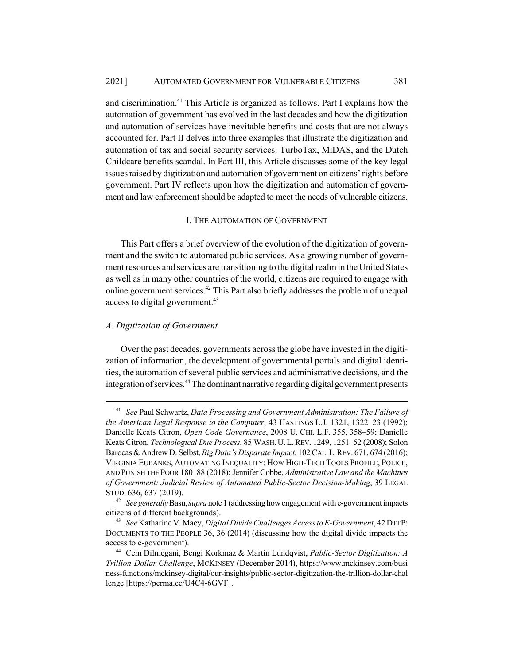and discrimination.41 This Article is organized as follows. Part I explains how the automation of government has evolved in the last decades and how the digitization and automation of services have inevitable benefits and costs that are not always accounted for. Part II delves into three examples that illustrate the digitization and automation of tax and social security services: TurboTax, MiDAS, and the Dutch Childcare benefits scandal. In Part III, this Article discusses some of the key legal issues raised by digitization and automation of government on citizens' rights before government. Part IV reflects upon how the digitization and automation of government and law enforcement should be adapted to meet the needs of vulnerable citizens.

#### I. THE AUTOMATION OF GOVERNMENT

This Part offers a brief overview of the evolution of the digitization of government and the switch to automated public services. As a growing number of government resources and services are transitioning to the digital realm in the United States as well as in many other countries of the world, citizens are required to engage with online government services.<sup>42</sup> This Part also briefly addresses the problem of unequal access to digital government.<sup>43</sup>

## *A. Digitization of Government*

Over the past decades, governments across the globe have invested in the digitization of information, the development of governmental portals and digital identities, the automation of several public services and administrative decisions, and the integration of services.<sup>44</sup> The dominant narrative regarding digital government presents

<sup>41</sup> *See* Paul Schwartz, *Data Processing and Government Administration: The Failure of the American Legal Response to the Computer*, 43 HASTINGS L.J. 1321, 1322–23 (1992); Danielle Keats Citron, *Open Code Governance*, 2008 U. CHI. L.F. 355, 358–59; Danielle Keats Citron, *Technological Due Process*, 85 WASH.U.L.REV. 1249, 1251–52 (2008); Solon Barocas & Andrew D. Selbst, *Big Data's Disparate Impact*, 102 CAL.L.REV. 671, 674 (2016); VIRGINIA EUBANKS, AUTOMATING INEQUALITY: HOW HIGH-TECH TOOLS PROFILE, POLICE, AND PUNISH THE POOR 180–88 (2018); Jennifer Cobbe, *Administrative Law and the Machines of Government: Judicial Review of Automated Public-Sector Decision-Making*, 39 LEGAL STUD. 636, 637 (2019).

<sup>42</sup> *See generally* Basu, *supra* note 1 (addressing how engagement with e-government impacts citizens of different backgrounds).

<sup>43</sup> *See* Katharine V. Macy, *Digital Divide Challenges Access to E-Government*, 42 DTTP: DOCUMENTS TO THE PEOPLE 36, 36 (2014) (discussing how the digital divide impacts the access to e-government).

<sup>44</sup> Cem Dilmegani, Bengi Korkmaz & Martin Lundqvist, *Public-Sector Digitization: A Trillion-Dollar Challenge*, MCKINSEY (December 2014), https://www.mckinsey.com/busi ness-functions/mckinsey-digital/our-insights/public-sector-digitization-the-trillion-dollar-chal lenge [https://perma.cc/U4C4-6GVF].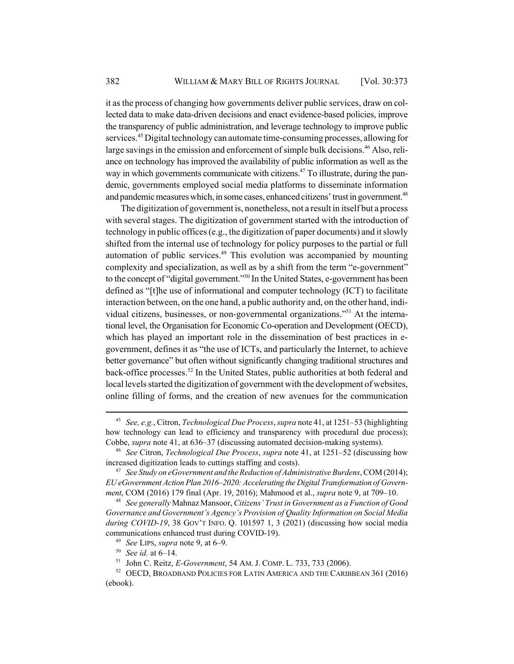it as the process of changing how governments deliver public services, draw on collected data to make data-driven decisions and enact evidence-based policies, improve the transparency of public administration, and leverage technology to improve public services.<sup>45</sup> Digital technology can automate time-consuming processes, allowing for large savings in the emission and enforcement of simple bulk decisions.<sup>46</sup> Also, reliance on technology has improved the availability of public information as well as the way in which governments communicate with citizens.<sup>47</sup> To illustrate, during the pandemic, governments employed social media platforms to disseminate information and pandemic measures which, in some cases, enhanced citizens' trust in government.<sup>48</sup>

The digitization of government is, nonetheless, not a result in itself but a process with several stages. The digitization of government started with the introduction of technology in public offices (e.g., the digitization of paper documents) and it slowly shifted from the internal use of technology for policy purposes to the partial or full automation of public services.<sup>49</sup> This evolution was accompanied by mounting complexity and specialization, as well as by a shift from the term "e-government" to the concept of "digital government."50 In the United States, e-government has been defined as "[t]he use of informational and computer technology (ICT) to facilitate interaction between, on the one hand, a public authority and, on the other hand, individual citizens, businesses, or non-governmental organizations."51 At the international level, the Organisation for Economic Co-operation and Development (OECD), which has played an important role in the dissemination of best practices in egovernment, defines it as "the use of ICTs, and particularly the Internet, to achieve better governance" but often without significantly changing traditional structures and back-office processes.52 In the United States, public authorities at both federal and local levels started the digitization of government with the development of websites, online filling of forms, and the creation of new avenues for the communication

<sup>45</sup> *See, e.g.*, Citron, *Technological Due Process*, *supra* note 41, at 1251–53 (highlighting how technology can lead to efficiency and transparency with procedural due process); Cobbe, *supra* note 41, at 636–37 (discussing automated decision-making systems).

<sup>46</sup> *See* Citron, *Technological Due Process*, *supra* note 41, at 1251–52 (discussing how increased digitization leads to cuttings staffing and costs).

<sup>47</sup> *See Study on eGovernment and the Reduction of Administrative Burdens*, COM (2014); *EU eGovernment Action Plan 2016–2020: Accelerating the Digital Transformation of Government*, COM (2016) 179 final (Apr. 19, 2016); Mahmood et al., *supra* note 9, at 709–10.

<sup>48</sup> *See generally* Mahnaz Mansoor, *Citizens' Trust in Government as a Function of Good Governance and Government's Agency's Provision of Quality Information on Social Media during COVID-19*, 38 GOV'T INFO. Q. 101597 1, 3 (2021) (discussing how social media communications enhanced trust during COVID-19).

<sup>49</sup> *See* LIPS, *supra* note 9, at 6–9.

<sup>50</sup> *See id.* at 6–14.

<sup>51</sup> John C. Reitz, *E-Government*, 54 AM. J. COMP. L. 733, 733 (2006).

 $52$  OECD, BROADBAND POLICIES FOR LATIN AMERICA AND THE CARIBBEAN 361 (2016) (ebook).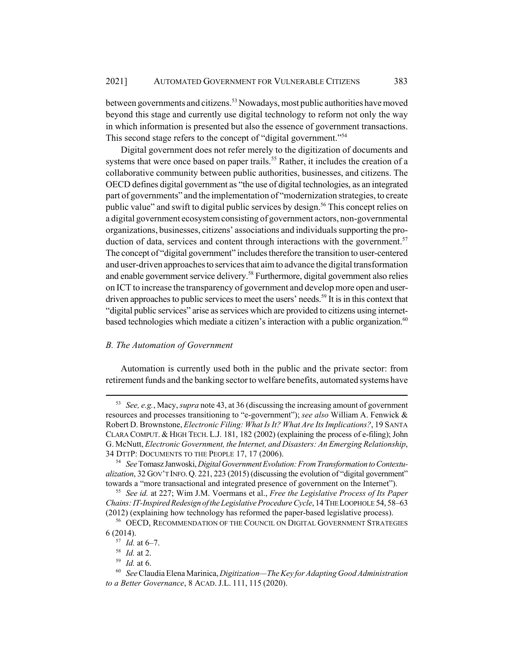between governments and citizens.53 Nowadays, most public authorities have moved beyond this stage and currently use digital technology to reform not only the way in which information is presented but also the essence of government transactions. This second stage refers to the concept of "digital government."<sup>54</sup>

Digital government does not refer merely to the digitization of documents and systems that were once based on paper trails.<sup>55</sup> Rather, it includes the creation of a collaborative community between public authorities, businesses, and citizens. The OECD defines digital government as "the use of digital technologies, as an integrated part of governments" and the implementation of "modernization strategies, to create public value" and swift to digital public services by design.<sup>56</sup> This concept relies on a digital government ecosystem consisting of government actors, non-governmental organizations, businesses, citizens' associations and individuals supporting the production of data, services and content through interactions with the government.<sup>57</sup> The concept of "digital government" includes therefore the transition to user-centered and user-driven approaches to services that aim to advance the digital transformation and enable government service delivery.<sup>58</sup> Furthermore, digital government also relies on ICT to increase the transparency of government and develop more open and userdriven approaches to public services to meet the users' needs.<sup>59</sup> It is in this context that "digital public services" arise as services which are provided to citizens using internetbased technologies which mediate a citizen's interaction with a public organization.<sup>60</sup>

### *B. The Automation of Government*

Automation is currently used both in the public and the private sector: from retirement funds and the banking sector to welfare benefits, automated systems have

<sup>53</sup> *See, e.g.*, Macy, *supra* note 43, at 36 (discussing the increasing amount of government resources and processes transitioning to "e-government"); *see also* William A. Fenwick & Robert D. Brownstone, *Electronic Filing: What Is It? What Are Its Implications?*, 19 SANTA CLARA COMPUT. & HIGH TECH. L.J. 181, 182 (2002) (explaining the process of e-filing); John G. McNutt, *Electronic Government, the Internet, and Disasters: An Emerging Relationship*, 34 DTTP: DOCUMENTS TO THE PEOPLE 17, 17 (2006).

<sup>54</sup> *See* Tomasz Janwoski, *Digital Government Evolution: From Transformation to Contextualization*, 32 GOV'T INFO.Q. 221, 223 (2015) (discussing the evolution of "digital government" towards a "more transactional and integrated presence of government on the Internet").

<sup>55</sup> *See id.* at 227; Wim J.M. Voermans et al., *Free the Legislative Process of Its Paper Chains: IT-Inspired Redesign of the Legislative ProcedureCycle*, 14 THE LOOPHOLE 54, 58–63 (2012) (explaining how technology has reformed the paper-based legislative process).

<sup>&</sup>lt;sup>56</sup> OECD, RECOMMENDATION OF THE COUNCIL ON DIGITAL GOVERNMENT STRATEGIES 6 (2014).

<sup>57</sup> *Id.* at 6–7.

<sup>58</sup> *Id.* at 2.

<sup>59</sup> *Id.* at 6.

<sup>60</sup> *See* Claudia Elena Marinica, *Digitization—The Key for Adapting Good Administration to a Better Governance*, 8 ACAD. J.L. 111, 115 (2020).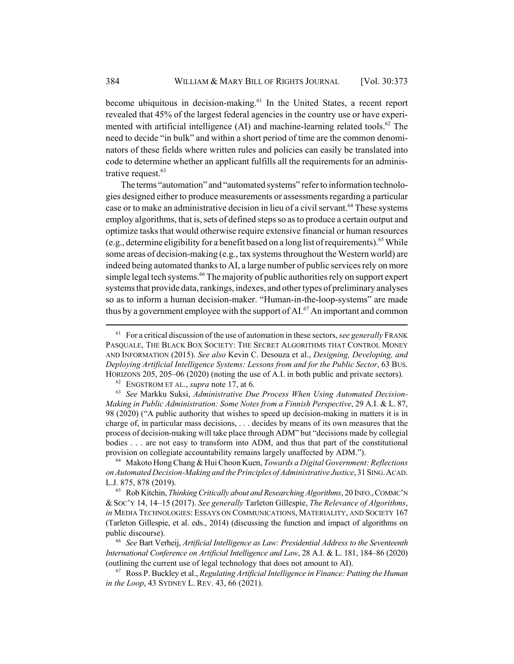become ubiquitous in decision-making.<sup>61</sup> In the United States, a recent report revealed that 45% of the largest federal agencies in the country use or have experimented with artificial intelligence  $(AI)$  and machine-learning related tools.<sup>62</sup> The need to decide "in bulk" and within a short period of time are the common denominators of these fields where written rules and policies can easily be translated into code to determine whether an applicant fulfills all the requirements for an administrative request. $63$ 

The terms "automation" and "automated systems" refer to information technologies designed either to produce measurements or assessments regarding a particular case or to make an administrative decision in lieu of a civil servant.<sup>64</sup> These systems employ algorithms, that is, sets of defined steps so as to produce a certain output and optimize tasks that would otherwise require extensive financial or human resources (e.g., determine eligibility for a benefit based on a long list of requirements).<sup>65</sup> While some areas of decision-making (e.g., tax systems throughout the Western world) are indeed being automated thanks to AI, a large number of public services rely on more simple legal tech systems.<sup>66</sup> The majority of public authorities rely on support expert systems that provide data, rankings, indexes, and other types of preliminary analyses so as to inform a human decision-maker. "Human-in-the-loop-systems" are made thus by a government employee with the support of  $AI^{67}$ . An important and common

<sup>64</sup> Makoto Hong Chang & Hui Choon Kuen, *Towards a Digital Government: Reflections on Automated Decision-Making and the Principles of Administrative Justice*, 31 SING.ACAD. L.J. 875, 878 (2019).

<sup>65</sup> Rob Kitchin, *Thinking Critically about and Researching Algorithms*, 20 INFO.,COMMC'N & SOC'Y 14, 14–15 (2017). *See generally* Tarleton Gillespie, *The Relevance of Algorithms*, *in* MEDIA TECHNOLOGIES: ESSAYS ON COMMUNICATIONS, MATERIALITY, AND SOCIETY 167 (Tarleton Gillespie, et al. eds., 2014) (discussing the function and impact of algorithms on public discourse).

<sup>66</sup> *See* Bart Verheij, *Artificial Intelligence as Law: Presidential Address to the Seventeenth International Conference on Artificial Intelligence and Law*, 28 A.I. & L. 181, 184–86 (2020) (outlining the current use of legal technology that does not amount to AI).

<sup>67</sup> Ross P. Buckley et al., *Regulating Artificial Intelligence in Finance: Putting the Human in the Loop*, 43 SYDNEY L. REV. 43, 66 (2021).

<sup>61</sup> For a critical discussion of the use of automation in these sectors, *see generally* FRANK PASQUALE, THE BLACK BOX SOCIETY: THE SECRET ALGORITHMS THAT CONTROL MONEY AND INFORMATION (2015). *See also* Kevin C. Desouza et al., *Designing, Developing, and Deploying Artificial Intelligence Systems: Lessons from and for the Public Sector*, 63 BUS. HORIZONS 205, 205–06 (2020) (noting the use of A.I. in both public and private sectors).

<sup>62</sup> ENGSTROM ET AL., *supra* note 17, at 6.

<sup>63</sup> *See* Markku Suksi, *Administrative Due Process When Using Automated Decision-Making in Public Administration: Some Notes from a Finnish Perspective*, 29 A.I. & L. 87, 98 (2020) ("A public authority that wishes to speed up decision-making in matters it is in charge of, in particular mass decisions, . . . decides by means of its own measures that the process of decision-making will take place through ADM" but "decisions made by collegial bodies . . . are not easy to transform into ADM, and thus that part of the constitutional provision on collegiate accountability remains largely unaffected by ADM.").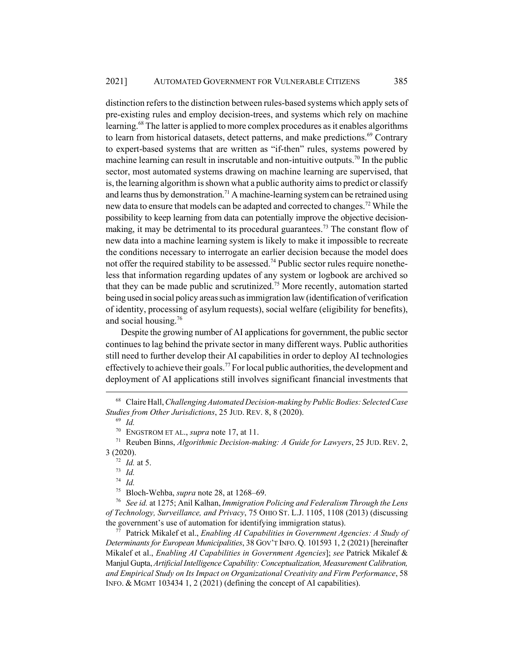distinction refers to the distinction between rules-based systems which apply sets of pre-existing rules and employ decision-trees, and systems which rely on machine learning.<sup>68</sup> The latter is applied to more complex procedures as it enables algorithms to learn from historical datasets, detect patterns, and make predictions.<sup>69</sup> Contrary to expert-based systems that are written as "if-then" rules, systems powered by machine learning can result in inscrutable and non-intuitive outputs.<sup>70</sup> In the public sector, most automated systems drawing on machine learning are supervised, that is, the learning algorithm is shown what a public authority aims to predict or classify and learns thus by demonstration.<sup>71</sup> A machine-learning system can be retrained using new data to ensure that models can be adapted and corrected to changes.72 While the possibility to keep learning from data can potentially improve the objective decisionmaking, it may be detrimental to its procedural guarantees.<sup>73</sup> The constant flow of new data into a machine learning system is likely to make it impossible to recreate the conditions necessary to interrogate an earlier decision because the model does not offer the required stability to be assessed.<sup>74</sup> Public sector rules require nonetheless that information regarding updates of any system or logbook are archived so that they can be made public and scrutinized.<sup>75</sup> More recently, automation started being used in social policy areas such as immigration law (identification of verification of identity, processing of asylum requests), social welfare (eligibility for benefits), and social housing.76

Despite the growing number of AI applications for government, the public sector continues to lag behind the private sector in many different ways. Public authorities still need to further develop their AI capabilities in order to deploy AI technologies effectively to achieve their goals.<sup>77</sup> For local public authorities, the development and deployment of AI applications still involves significant financial investments that

<sup>73</sup> *Id.*

<sup>74</sup> *Id.*

<sup>75</sup> Bloch-Wehba, *supra* note 28, at 1268–69.

<sup>76</sup> *See id.* at 1275; Anil Kalhan, *Immigration Policing and Federalism Through the Lens of Technology, Surveillance, and Privacy*, 75 OHIO ST. L.J. 1105, 1108 (2013) (discussing the government's use of automation for identifying immigration status).

<sup>77</sup> Patrick Mikalef et al., *Enabling AI Capabilities in Government Agencies: A Study of Determinants for European Municipalities*, 38 GOV'T INFO. Q. 101593 1, 2 (2021) [hereinafter Mikalef et al., *Enabling AI Capabilities in Government Agencies*]; *see* Patrick Mikalef & Manjul Gupta, *Artificial Intelligence Capability: Conceptualization, Measurement Calibration, and Empirical Study on Its Impact on Organizational Creativity and Firm Performance*, 58 INFO. & MGMT 103434 1, 2 (2021) (defining the concept of AI capabilities).

<sup>68</sup> Claire Hall, *Challenging Automated Decision-making by Public Bodies: Selected Case Studies from Other Jurisdictions*, 25 JUD. REV. 8, 8 (2020).

<sup>69</sup> *Id.*

<sup>70</sup> ENGSTROM ET AL., *supra* note 17, at 11.

<sup>71</sup> Reuben Binns, *Algorithmic Decision-making: A Guide for Lawyers*, 25 JUD. REV. 2, 3 (2020).

<sup>72</sup> *Id.* at 5.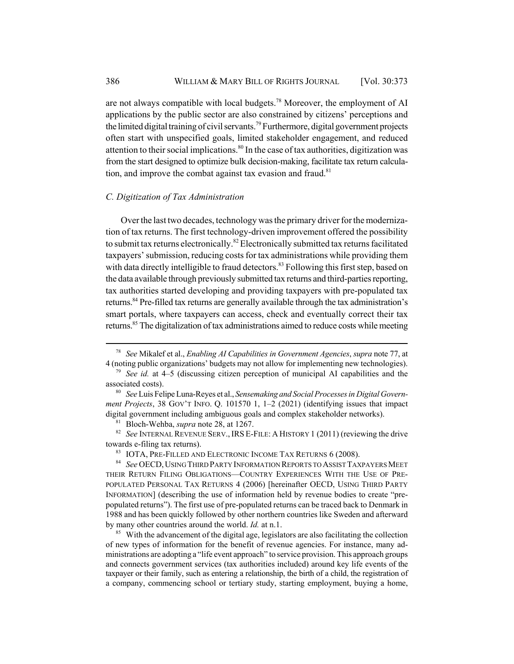are not always compatible with local budgets.78 Moreover, the employment of AI applications by the public sector are also constrained by citizens' perceptions and the limited digital training of civil servants.<sup>79</sup> Furthermore, digital government projects often start with unspecified goals, limited stakeholder engagement, and reduced attention to their social implications.<sup>80</sup> In the case of tax authorities, digitization was from the start designed to optimize bulk decision-making, facilitate tax return calculation, and improve the combat against tax evasion and fraud. $81$ 

### *C. Digitization of Tax Administration*

Over the last two decades, technology was the primary driver for the modernization of tax returns. The first technology-driven improvement offered the possibility to submit tax returns electronically.<sup>82</sup> Electronically submitted tax returns facilitated taxpayers' submission, reducing costs for tax administrations while providing them with data directly intelligible to fraud detectors.<sup>83</sup> Following this first step, based on the data available through previously submitted tax returns and third-parties reporting, tax authorities started developing and providing taxpayers with pre-populated tax returns.<sup>84</sup> Pre-filled tax returns are generally available through the tax administration's smart portals, where taxpayers can access, check and eventually correct their tax returns.<sup>85</sup> The digitalization of tax administrations aimed to reduce costs while meeting

<sup>81</sup> Bloch-Wehba, *supra* note 28, at 1267.

<sup>82</sup> *See* INTERNAL REVENUE SERV.,IRS E-FILE: A HISTORY 1 (2011) (reviewing the drive towards e-filing tax returns).

83 IOTA, PRE-FILLED AND ELECTRONIC INCOME TAX RETURNS 6 (2008).

<sup>85</sup> With the advancement of the digital age, legislators are also facilitating the collection of new types of information for the benefit of revenue agencies. For instance, many administrations are adopting a "life event approach" to service provision. This approach groups and connects government services (tax authorities included) around key life events of the taxpayer or their family, such as entering a relationship, the birth of a child, the registration of a company, commencing school or tertiary study, starting employment, buying a home,

<sup>78</sup> *See* Mikalef et al., *Enabling AI Capabilities in Government Agencies*, *supra* note 77, at 4 (noting public organizations' budgets may not allow for implementing new technologies).

<sup>79</sup> *See id.* at 4–5 (discussing citizen perception of municipal AI capabilities and the associated costs).

<sup>80</sup> *See* Luis Felipe Luna-Reyes et al., *Sensemaking and Social Processes in Digital Government Projects*, 38 GOV'T INFO. Q. 101570 1, 1–2 (2021) (identifying issues that impact digital government including ambiguous goals and complex stakeholder networks).

<sup>84</sup> *See* OECD,USING THIRD PARTY INFORMATION REPORTS TO ASSIST TAXPAYERS MEET THEIR RETURN FILING OBLIGATIONS—COUNTRY EXPERIENCES WITH THE USE OF PRE-POPULATED PERSONAL TAX RETURNS 4 (2006) [hereinafter OECD, USING THIRD PARTY INFORMATION] (describing the use of information held by revenue bodies to create "prepopulated returns"). The first use of pre-populated returns can be traced back to Denmark in 1988 and has been quickly followed by other northern countries like Sweden and afterward by many other countries around the world. *Id.* at n.1.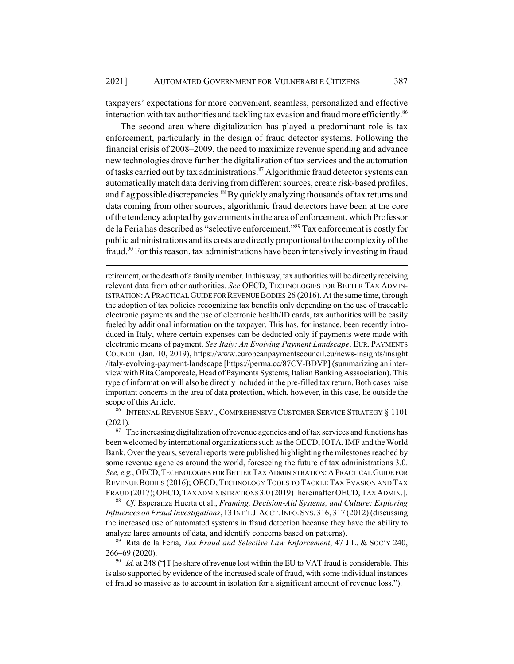taxpayers' expectations for more convenient, seamless, personalized and effective interaction with tax authorities and tackling tax evasion and fraud more efficiently.<sup>86</sup>

The second area where digitalization has played a predominant role is tax enforcement, particularly in the design of fraud detector systems. Following the financial crisis of 2008–2009, the need to maximize revenue spending and advance new technologies drove further the digitalization of tax services and the automation of tasks carried out by tax administrations.<sup>87</sup> Algorithmic fraud detector systems can automatically match data deriving from different sources, create risk-based profiles, and flag possible discrepancies.<sup>88</sup> By quickly analyzing thousands of tax returns and data coming from other sources, algorithmic fraud detectors have been at the core of the tendency adopted by governments in the area of enforcement, which Professor de la Feria has described as "selective enforcement."89 Tax enforcement is costly for public administrations and its costs are directly proportional to the complexity of the fraud.<sup>90</sup> For this reason, tax administrations have been intensively investing in fraud

retirement, or the death of a family member. In this way, tax authorities will be directly receiving relevant data from other authorities. *See* OECD, TECHNOLOGIES FOR BETTER TAX ADMIN-ISTRATION:APRACTICAL GUIDE FOR REVENUE BODIES 26 (2016). At the same time, through the adoption of tax policies recognizing tax benefits only depending on the use of traceable electronic payments and the use of electronic health/ID cards, tax authorities will be easily fueled by additional information on the taxpayer. This has, for instance, been recently introduced in Italy, where certain expenses can be deducted only if payments were made with electronic means of payment. *See Italy: An Evolving Payment Landscape*, EUR. PAYMENTS COUNCIL (Jan. 10, 2019), https://www.europeanpaymentscouncil.eu/news-insights/insight /italy-evolving-payment-landscape [https://perma.cc/87CV-BDVP] (summarizing an interview with Rita Camporeale, Head of Payments Systems, Italian Banking Asssociation). This type of information will also be directly included in the pre-filled tax return. Both cases raise important concerns in the area of data protection, which, however, in this case, lie outside the scope of this Article.

<sup>86</sup> INTERNAL REVENUE SERV., COMPREHENSIVE CUSTOMER SERVICE STRATEGY § 1101 (2021).

 $87$  The increasing digitalization of revenue agencies and of tax services and functions has been welcomed by international organizations such as the OECD, IOTA, IMF and the World Bank. Over the years, several reports were published highlighting the milestones reached by some revenue agencies around the world, foreseeing the future of tax administrations 3.0. See, e.g., OECD, TECHNOLOGIES FOR BETTER TAX ADMINISTRATION: A PRACTICAL GUIDE FOR REVENUE BODIES (2016); OECD, TECHNOLOGY TOOLS TO TACKLE TAX EVASION AND TAX FRAUD (2017); OECD,TAX ADMINISTRATIONS 3.0 (2019) [hereinafter OECD, TAX ADMIN.].

<sup>88</sup> *Cf.* Esperanza Huerta et al., *Framing, Decision-Aid Systems, and Culture: Exploring Influences on Fraud Investigations*, 13 INT'L J.ACCT.INFO.SYS. 316, 317 (2012) (discussing the increased use of automated systems in fraud detection because they have the ability to analyze large amounts of data, and identify concerns based on patterns).

<sup>89</sup> Rita de la Feria, *Tax Fraud and Selective Law Enforcement*, 47 J.L. & SOC'Y 240, 266–69 (2020).

 $90$  *Id.* at 248 ("The share of revenue lost within the EU to VAT fraud is considerable. This is also supported by evidence of the increased scale of fraud, with some individual instances of fraud so massive as to account in isolation for a significant amount of revenue loss.").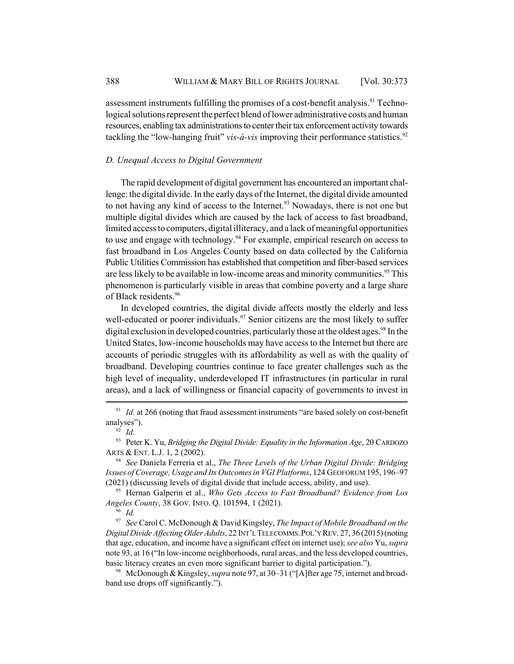assessment instruments fulfilling the promises of a cost-benefit analysis.<sup>91</sup> Technological solutions represent the perfect blend of lower administrative costs and human resources, enabling tax administrations to center their tax enforcement activity towards tackling the "low-hanging fruit" *vis-à-vis* improving their performance statistics.<sup>92</sup>

## *D. Unequal Access to Digital Government*

The rapid development of digital government has encountered an important challenge: the digital divide. In the early days of the Internet, the digital divide amounted to not having any kind of access to the Internet.<sup>93</sup> Nowadays, there is not one but multiple digital divides which are caused by the lack of access to fast broadband, limited access to computers, digital illiteracy, and a lack of meaningful opportunities to use and engage with technology.<sup>94</sup> For example, empirical research on access to fast broadband in Los Angeles County based on data collected by the California Public Utilities Commission has established that competition and fiber-based services are less likely to be available in low-income areas and minority communities.<sup>95</sup> This phenomenon is particularly visible in areas that combine poverty and a large share of Black residents.96

In developed countries, the digital divide affects mostly the elderly and less well-educated or poorer individuals.<sup>97</sup> Senior citizens are the most likely to suffer digital exclusion in developed countries, particularly those at the oldest ages.<sup>98</sup> In the United States, low-income households may have access to the Internet but there are accounts of periodic struggles with its affordability as well as with the quality of broadband. Developing countries continue to face greater challenges such as the high level of inequality, underdeveloped IT infrastructures (in particular in rural areas), and a lack of willingness or financial capacity of governments to invest in

<sup>95</sup> Hernan Galperin et al., *Who Gets Access to Fast Broadband? Evidence from Los Angeles County*, 38 GOV. INFO. Q. 101594, 1 (2021).

<sup>96</sup> *Id.*

<sup>97</sup> *See* Carol C. McDonough & David Kingsley, *The Impact of Mobile Broadband on the Digital Divide Affecting Older Adults*, 22 INT'L TELECOMMS.POL'Y REV. 27, 36 (2015) (noting that age, education, and income have a significant effect on internet use); *see also* Yu, *supra* note 93, at 16 ("In low-income neighborhoods, rural areas, and the less developed countries, basic literacy creates an even more significant barrier to digital participation.").

<sup>98</sup> McDonough & Kingsley, *supra* note 97, at 30–31 ("[A]fter age 75, internet and broadband use drops off significantly.").

<sup>&</sup>lt;sup>91</sup> *Id.* at 266 (noting that fraud assessment instruments "are based solely on cost-benefit analyses").

<sup>92</sup> *Id.*

<sup>93</sup> Peter K. Yu, *Bridging the Digital Divide: Equality in the Information Age*, 20 CARDOZO ARTS & ENT. L.J. 1, 2 (2002).

<sup>94</sup> *See* Daniela Ferreria et al., *The Three Levels of the Urban Digital Divide: Bridging Issues of Coverage, Usage and Its Outcomes in VGI Platforms*, 124 GEOFORUM 195, 196–97 (2021) (discussing levels of digital divide that include access, ability, and use).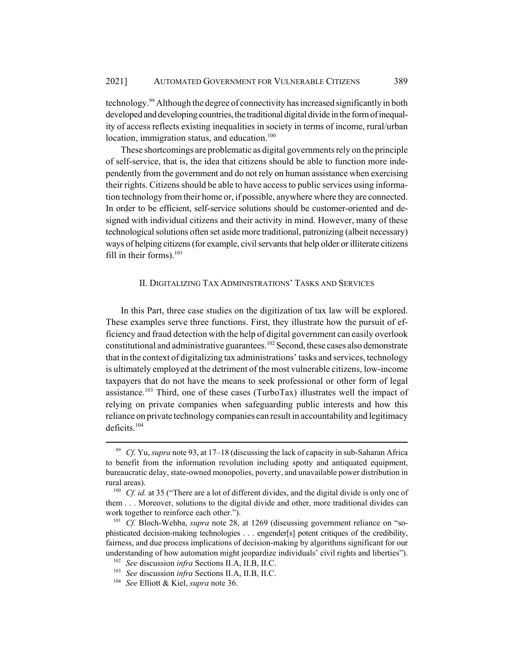technology.99 Although the degree of connectivity has increased significantly in both developed and developing countries, the traditional digital divide in the form of inequality of access reflects existing inequalities in society in terms of income, rural/urban location, immigration status, and education.<sup>100</sup>

These shortcomings are problematic as digital governments rely on the principle of self-service, that is, the idea that citizens should be able to function more independently from the government and do not rely on human assistance when exercising their rights. Citizens should be able to have access to public services using information technology from their home or, if possible, anywhere where they are connected. In order to be efficient, self-service solutions should be customer-oriented and designed with individual citizens and their activity in mind. However, many of these technological solutions often set aside more traditional, patronizing (albeit necessary) ways of helping citizens (for example, civil servants that help older or illiterate citizens fill in their forms). $101$ 

### II. DIGITALIZING TAX ADMINISTRATIONS' TASKS AND SERVICES

In this Part, three case studies on the digitization of tax law will be explored. These examples serve three functions. First, they illustrate how the pursuit of efficiency and fraud detection with the help of digital government can easily overlook constitutional and administrative guarantees.102 Second, these cases also demonstrate that in the context of digitalizing tax administrations' tasks and services, technology is ultimately employed at the detriment of the most vulnerable citizens, low-income taxpayers that do not have the means to seek professional or other form of legal assistance.<sup>103</sup> Third, one of these cases (TurboTax) illustrates well the impact of relying on private companies when safeguarding public interests and how this reliance on private technology companies can result in accountability and legitimacy deficits.104

<sup>99</sup> *Cf.* Yu, *supra* note 93, at 17–18 (discussing the lack of capacity in sub-Saharan Africa to benefit from the information revolution including spotty and antiquated equipment, bureaucratic delay, state-owned monopolies, poverty, and unavailable power distribution in rural areas).

<sup>&</sup>lt;sup>100</sup> *Cf. id.* at 35 ("There are a lot of different divides, and the digital divide is only one of them . . . Moreover, solutions to the digital divide and other, more traditional divides can work together to reinforce each other.").

<sup>&</sup>lt;sup>101</sup> *Cf.* Bloch-Wehba, *supra* note 28, at 1269 (discussing government reliance on "sophisticated decision-making technologies . . . engender[s] potent critiques of the credibility, fairness, and due process implications of decision-making by algorithms significant for our understanding of how automation might jeopardize individuals' civil rights and liberties").

<sup>102</sup> *See* discussion *infra* Sections II.A, II.B, II.C.

<sup>103</sup> *See* discussion *infra* Sections II.A, II.B, II.C.

<sup>104</sup> *See* Elliott & Kiel, *supra* note 36.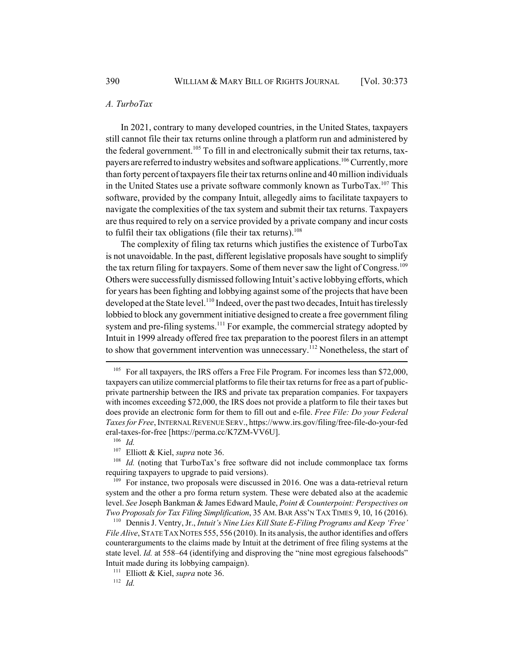#### *A. TurboTax*

In 2021, contrary to many developed countries, in the United States, taxpayers still cannot file their tax returns online through a platform run and administered by the federal government.<sup>105</sup> To fill in and electronically submit their tax returns, taxpayers are referred to industry websites and software applications.<sup>106</sup> Currently, more than forty percent of taxpayers file their tax returns online and 40 million individuals in the United States use a private software commonly known as  $Turbo Tax.<sup>107</sup> This$ software, provided by the company Intuit, allegedly aims to facilitate taxpayers to navigate the complexities of the tax system and submit their tax returns. Taxpayers are thus required to rely on a service provided by a private company and incur costs to fulfil their tax obligations (file their tax returns).<sup>108</sup>

The complexity of filing tax returns which justifies the existence of TurboTax is not unavoidable. In the past, different legislative proposals have sought to simplify the tax return filing for taxpayers. Some of them never saw the light of Congress.<sup>109</sup> Others were successfully dismissed following Intuit's active lobbying efforts, which for years has been fighting and lobbying against some of the projects that have been developed at the State level.<sup>110</sup> Indeed, over the past two decades, Intuit has tirelessly lobbied to block any government initiative designed to create a free government filing system and pre-filing systems.<sup>111</sup> For example, the commercial strategy adopted by Intuit in 1999 already offered free tax preparation to the poorest filers in an attempt to show that government intervention was unnecessary.<sup>112</sup> Nonetheless, the start of

<sup>106</sup> *Id.*

<sup>108</sup> *Id.* (noting that TurboTax's free software did not include commonplace tax forms requiring taxpayers to upgrade to paid versions).

<sup>112</sup> *Id.*

 $105$  For all taxpayers, the IRS offers a Free File Program. For incomes less than \$72,000, taxpayers can utilize commercial platforms to file their tax returns for free as a part of publicprivate partnership between the IRS and private tax preparation companies. For taxpayers with incomes exceeding \$72,000, the IRS does not provide a platform to file their taxes but does provide an electronic form for them to fill out and e-file. *Free File: Do your Federal Taxes for Free*, INTERNAL REVENUE SERV., https://www.irs.gov/filing/free-file-do-your-fed eral-taxes-for-free [https://perma.cc/K7ZM-VV6U].

<sup>107</sup> Elliott & Kiel, *supra* note 36.

 $109$  For instance, two proposals were discussed in 2016. One was a data-retrieval return system and the other a pro forma return system. These were debated also at the academic level. *See* Joseph Bankman & James Edward Maule, *Point & Counterpoint: Perspectives on Two Proposals for Tax Filing Simplification*, 35 AM.BAR ASS'N TAX TIMES 9, 10, 16 (2016).

<sup>110</sup> Dennis J. Ventry, Jr., *Intuit's Nine Lies Kill State E-Filing Programs and Keep 'Free' File Alive*, STATE TAX NOTES 555, 556 (2010). In its analysis, the author identifies and offers counterarguments to the claims made by Intuit at the detriment of free filing systems at the state level. *Id.* at 558–64 (identifying and disproving the "nine most egregious falsehoods" Intuit made during its lobbying campaign).

<sup>111</sup> Elliott & Kiel, *supra* note 36.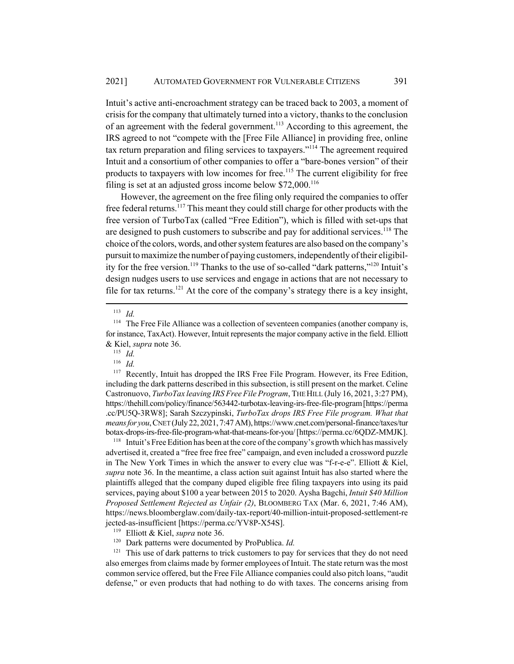Intuit's active anti-encroachment strategy can be traced back to 2003, a moment of crisis for the company that ultimately turned into a victory, thanks to the conclusion of an agreement with the federal government.<sup>113</sup> According to this agreement, the IRS agreed to not "compete with the [Free File Alliance] in providing free, online tax return preparation and filing services to taxpayers."114 The agreement required Intuit and a consortium of other companies to offer a "bare-bones version" of their products to taxpayers with low incomes for free.<sup>115</sup> The current eligibility for free filing is set at an adjusted gross income below  $$72,000$ .<sup>116</sup>

However, the agreement on the free filing only required the companies to offer free federal returns.<sup>117</sup> This meant they could still charge for other products with the free version of TurboTax (called "Free Edition"), which is filled with set-ups that are designed to push customers to subscribe and pay for additional services.<sup>118</sup> The choice of the colors, words, and other system features are also based on the company's pursuit to maximize the number of paying customers, independently of their eligibility for the free version.<sup>119</sup> Thanks to the use of so-called "dark patterns,"<sup>120</sup> Intuit's design nudges users to use services and engage in actions that are not necessary to file for tax returns.<sup>121</sup> At the core of the company's strategy there is a key insight,

<sup>113</sup> *Id.*

<sup>117</sup> Recently, Intuit has dropped the IRS Free File Program. However, its Free Edition, including the dark patterns described in this subsection, is still present on the market. Celine Castronuovo, *TurboTax leaving IRS Free File Program*, THE HILL (July 16, 2021, 3:27 PM), https://thehill.com/policy/finance/563442-turbotax-leaving-irs-free-file-program [https://perma .cc/PU5Q-3RW8]; Sarah Szczypinski, *TurboTax drops IRS Free File program. What that means for you*, CNET (July 22, 2021, 7:47 AM), https://www.cnet.com/personal-finance/taxes/tur botax-drops-irs-free-file-program-what-that-means-for-you/ [https://perma.cc/6QDZ-MMJK].

<sup>118</sup> Intuit's Free Edition has been at the core of the company's growth which has massively advertised it, created a "free free free free" campaign, and even included a crossword puzzle in The New York Times in which the answer to every clue was "f-r-e-e". Elliott & Kiel, *supra* note 36. In the meantime, a class action suit against Intuit has also started where the plaintiffs alleged that the company duped eligible free filing taxpayers into using its paid services, paying about \$100 a year between 2015 to 2020. Aysha Bagchi, *Intuit \$40 Million Proposed Settlement Rejected as Unfair (2)*, BLOOMBERG TAX (Mar. 6, 2021, 7:46 AM), https://news.bloomberglaw.com/daily-tax-report/40-million-intuit-proposed-settlement-re jected-as-insufficient [https://perma.cc/YV8P-X54S].

<sup>120</sup> Dark patterns were documented by ProPublica. *Id.*

 $121$  This use of dark patterns to trick customers to pay for services that they do not need also emerges from claims made by former employees of Intuit. The state return was the most common service offered, but the Free File Alliance companies could also pitch loans, "audit defense," or even products that had nothing to do with taxes. The concerns arising from

<sup>&</sup>lt;sup>114</sup> The Free File Alliance was a collection of seventeen companies (another company is, for instance, TaxAct). However, Intuit represents the major company active in the field. Elliott & Kiel, *supra* note 36.

<sup>115</sup> *Id.*

<sup>116</sup> *Id.*

<sup>119</sup> Elliott & Kiel, *supra* note 36.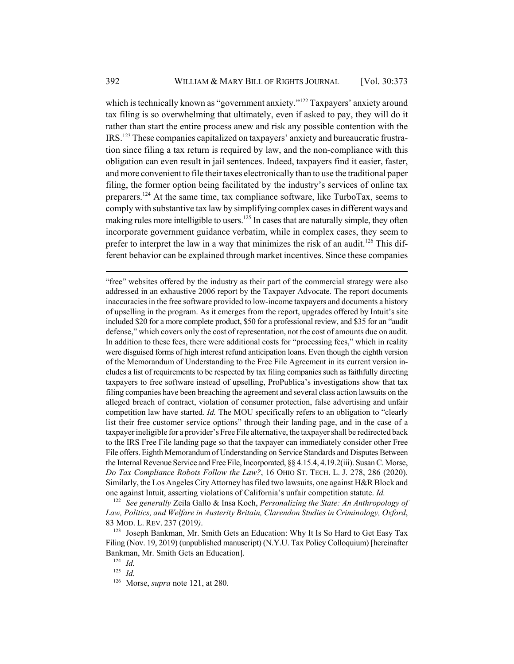which is technically known as "government anxiety."<sup>122</sup> Taxpayers' anxiety around tax filing is so overwhelming that ultimately, even if asked to pay, they will do it rather than start the entire process anew and risk any possible contention with the IRS.123 These companies capitalized on taxpayers' anxiety and bureaucratic frustration since filing a tax return is required by law, and the non-compliance with this obligation can even result in jail sentences. Indeed, taxpayers find it easier, faster, and more convenient to file their taxes electronically than to use the traditional paper filing, the former option being facilitated by the industry's services of online tax preparers.<sup>124</sup> At the same time, tax compliance software, like TurboTax, seems to comply with substantive tax law by simplifying complex cases in different ways and making rules more intelligible to users.<sup>125</sup> In cases that are naturally simple, they often incorporate government guidance verbatim, while in complex cases, they seem to prefer to interpret the law in a way that minimizes the risk of an audit.<sup>126</sup> This different behavior can be explained through market incentives. Since these companies

"free" websites offered by the industry as their part of the commercial strategy were also addressed in an exhaustive 2006 report by the Taxpayer Advocate. The report documents inaccuracies in the free software provided to low-income taxpayers and documents a history of upselling in the program. As it emerges from the report, upgrades offered by Intuit's site included \$20 for a more complete product, \$50 for a professional review, and \$35 for an "audit defense," which covers only the cost of representation, not the cost of amounts due on audit. In addition to these fees, there were additional costs for "processing fees," which in reality were disguised forms of high interest refund anticipation loans. Even though the eighth version of the Memorandum of Understanding to the Free File Agreement in its current version includes a list of requirements to be respected by tax filing companies such as faithfully directing taxpayers to free software instead of upselling, ProPublica's investigations show that tax filing companies have been breaching the agreement and several class action lawsuits on the alleged breach of contract, violation of consumer protection, false advertising and unfair competition law have started*. Id.* The MOU specifically refers to an obligation to "clearly list their free customer service options" through their landing page, and in the case of a taxpayer ineligible for a provider's Free File alternative, the taxpayer shall be redirected back to the IRS Free File landing page so that the taxpayer can immediately consider other Free File offers. Eighth Memorandum of Understanding on Service Standards and Disputes Between the Internal Revenue Service and Free File, Incorporated, §§ 4.15.4, 4.19.2(iii). Susan C. Morse, *Do Tax Compliance Robots Follow the Law?*, 16 OHIO ST. TECH. L. J. 278, 286 (2020). Similarly, the Los Angeles City Attorney has filed two lawsuits, one against H&R Block and one against Intuit, asserting violations of California's unfair competition statute. *Id.*

<sup>122</sup> *See generally* Zeila Gallo & Insa Koch, *Personalizing the State: An Anthropology of Law, Politics, and Welfare in Austerity Britain, Clarendon Studies in Criminology, Oxford*, 83 MOD. L. REV. 237 (2019*)*.

<sup>123</sup> Joseph Bankman, Mr. Smith Gets an Education: Why It Is So Hard to Get Easy Tax Filing (Nov. 19, 2019) (unpublished manuscript) (N.Y.U. Tax Policy Colloquium) [hereinafter Bankman, Mr. Smith Gets an Education].

<sup>124</sup> *Id.*

<sup>125</sup> *Id.*

<sup>126</sup> Morse, *supra* note 121, at 280.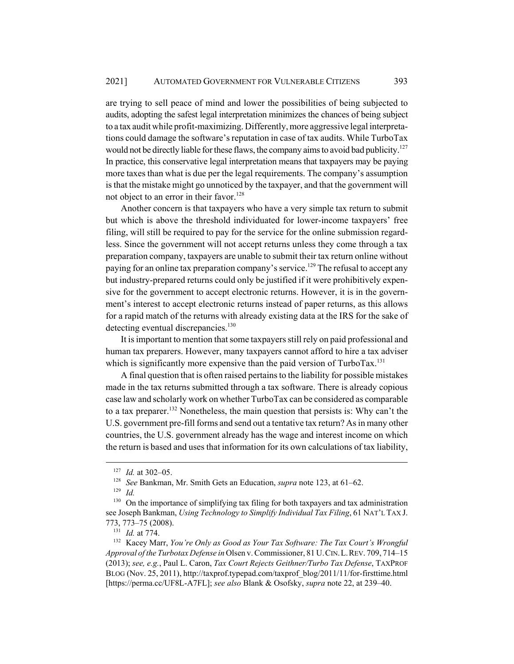are trying to sell peace of mind and lower the possibilities of being subjected to audits, adopting the safest legal interpretation minimizes the chances of being subject to a tax audit while profit-maximizing. Differently, more aggressive legal interpretations could damage the software's reputation in case of tax audits. While TurboTax would not be directly liable for these flaws, the company aims to avoid bad publicity.<sup>127</sup> In practice, this conservative legal interpretation means that taxpayers may be paying more taxes than what is due per the legal requirements. The company's assumption is that the mistake might go unnoticed by the taxpayer, and that the government will not object to an error in their favor.<sup>128</sup>

Another concern is that taxpayers who have a very simple tax return to submit but which is above the threshold individuated for lower-income taxpayers' free filing, will still be required to pay for the service for the online submission regardless. Since the government will not accept returns unless they come through a tax preparation company, taxpayers are unable to submit their tax return online without paying for an online tax preparation company's service.<sup>129</sup> The refusal to accept any but industry-prepared returns could only be justified if it were prohibitively expensive for the government to accept electronic returns. However, it is in the government's interest to accept electronic returns instead of paper returns, as this allows for a rapid match of the returns with already existing data at the IRS for the sake of detecting eventual discrepancies.<sup>130</sup>

It is important to mention that some taxpayers still rely on paid professional and human tax preparers. However, many taxpayers cannot afford to hire a tax adviser which is significantly more expensive than the paid version of TurboTax.<sup>131</sup>

A final question that is often raised pertains to the liability for possible mistakes made in the tax returns submitted through a tax software. There is already copious case law and scholarly work on whether TurboTax can be considered as comparable to a tax preparer.<sup>132</sup> Nonetheless, the main question that persists is: Why can't the U.S. government pre-fill forms and send out a tentative tax return? As in many other countries, the U.S. government already has the wage and interest income on which the return is based and uses that information for its own calculations of tax liability,

<sup>127</sup> *Id.* at 302–05.

<sup>128</sup> *See* Bankman, Mr. Smith Gets an Education, *supra* note 123, at 61–62.

<sup>129</sup> *Id.*

<sup>&</sup>lt;sup>130</sup> On the importance of simplifying tax filing for both taxpayers and tax administration see Joseph Bankman, *Using Technology to Simplify Individual Tax Filing*, 61 NAT'L TAX J. 773, 773–75 (2008).

<sup>131</sup> *Id.* at 774.

<sup>132</sup> Kacey Marr, *You're Only as Good as Your Tax Software: The Tax Court's Wrongful Approval of the Turbotax Defense in* Olsen v. Commissioner, 81 U.CIN.L.REV. 709, 714–15 (2013); *see, e.g.*, Paul L. Caron, *Tax Court Rejects Geithner/Turbo Tax Defense*, TAXPROF BLOG (Nov. 25, 2011), http://taxprof.typepad.com/taxprof\_blog/2011/11/for-firsttime.html [https://perma.cc/UF8L-A7FL]; *see also* Blank & Osofsky, *supra* note 22, at 239–40.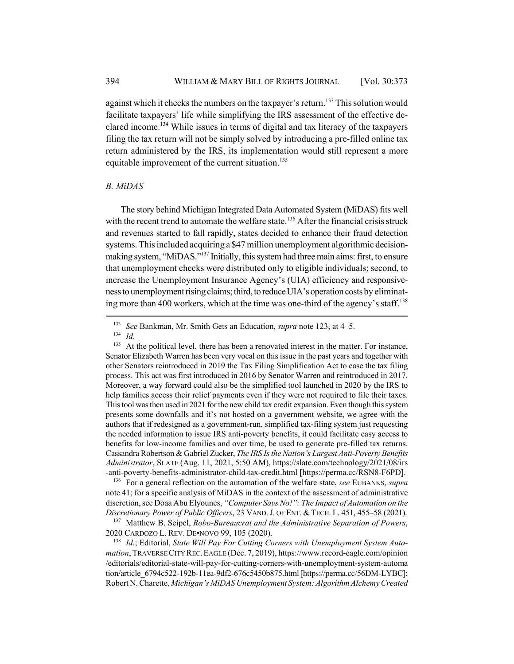against which it checks the numbers on the taxpayer's return.<sup>133</sup> This solution would facilitate taxpayers' life while simplifying the IRS assessment of the effective declared income.<sup>134</sup> While issues in terms of digital and tax literacy of the taxpayers filing the tax return will not be simply solved by introducing a pre-filled online tax return administered by the IRS, its implementation would still represent a more equitable improvement of the current situation.<sup>135</sup>

### *B. MiDAS*

The story behind Michigan Integrated Data Automated System (MiDAS) fits well with the recent trend to automate the welfare state.<sup>136</sup> After the financial crisis struck and revenues started to fall rapidly, states decided to enhance their fraud detection systems. This included acquiring a \$47 million unemployment algorithmic decisionmaking system, "MiDAS."137 Initially, this system had three main aims: first, to ensure that unemployment checks were distributed only to eligible individuals; second, to increase the Unemployment Insurance Agency's (UIA) efficiency and responsiveness to unemployment rising claims; third, to reduce UIA's operation costs by eliminating more than 400 workers, which at the time was one-third of the agency's staff.<sup>138</sup>

<sup>136</sup> For a general reflection on the automation of the welfare state, *see* EUBANKS, *supra* note 41; for a specific analysis of MiDAS in the context of the assessment of administrative discretion, see Doaa Abu Elyounes, *"Computer Says No!": The Impact of Automation on the Discretionary Power of Public Officers*, 23 VAND.J. OF ENT. & TECH. L. 451, 455–58 (2021).

<sup>137</sup> Matthew B. Seipel, *Robo-Bureaucrat and the Administrative Separation of Powers*, 2020 CARDOZO L. REV. DE•NOVO 99, 105 (2020).

<sup>138</sup> *Id.*; Editorial, *State Will Pay For Cutting Corners with Unemployment System Automation*, TRAVERSE CITY REC.EAGLE (Dec. 7, 2019), https://www.record-eagle.com/opinion /editorials/editorial-state-will-pay-for-cutting-corners-with-unemployment-system-automa tion/article\_6794c522-192b-11ea-9df2-676c5450b875.html [https://perma.cc/56DM-LYBC]; Robert N. Charette, *Michigan's MiDAS Unemployment System: Algorithm Alchemy Created*

<sup>133</sup> *See* Bankman, Mr. Smith Gets an Education, *supra* note 123, at 4–5.

<sup>134</sup> *Id.*

 $135$  At the political level, there has been a renovated interest in the matter. For instance, Senator Elizabeth Warren has been very vocal on this issue in the past years and together with other Senators reintroduced in 2019 the Tax Filing Simplification Act to ease the tax filing process. This act was first introduced in 2016 by Senator Warren and reintroduced in 2017. Moreover, a way forward could also be the simplified tool launched in 2020 by the IRS to help families access their relief payments even if they were not required to file their taxes. This tool was then used in 2021 for the new child tax credit expansion. Even though this system presents some downfalls and it's not hosted on a government website, we agree with the authors that if redesigned as a government-run, simplified tax-filing system just requesting the needed information to issue IRS anti-poverty benefits, it could facilitate easy access to benefits for low-income families and over time, be used to generate pre-filled tax returns. Cassandra Robertson & Gabriel Zucker, *The IRS Is the Nation's Largest Anti-Poverty Benefits Administrator*, SLATE (Aug. 11, 2021, 5:50 AM), https://slate.com/technology/2021/08/irs -anti-poverty-benefits-administrator-child-tax-credit.html [https://perma.cc/RSN8-F6PD].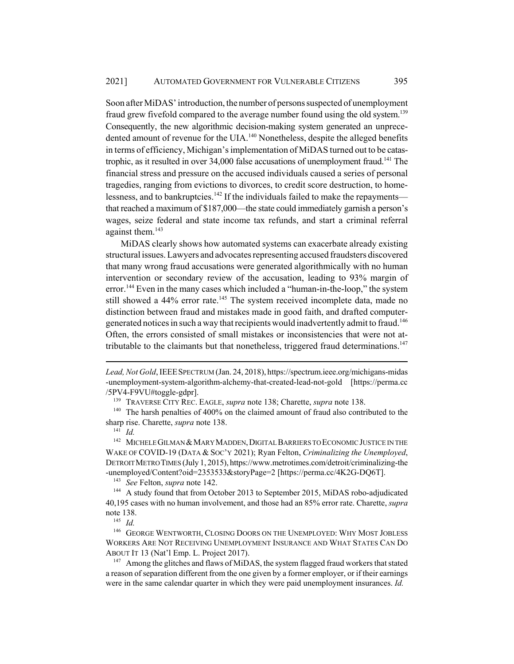Soon after MiDAS' introduction, the number of persons suspected of unemployment fraud grew fivefold compared to the average number found using the old system.<sup>139</sup> Consequently, the new algorithmic decision-making system generated an unprecedented amount of revenue for the UIA.<sup>140</sup> Nonetheless, despite the alleged benefits in terms of efficiency, Michigan's implementation of MiDAS turned out to be catastrophic, as it resulted in over  $34,000$  false accusations of unemployment fraud.<sup>141</sup> The financial stress and pressure on the accused individuals caused a series of personal tragedies, ranging from evictions to divorces, to credit score destruction, to homelessness, and to bankruptcies.<sup>142</sup> If the individuals failed to make the repayments that reached a maximum of \$187,000—the state could immediately garnish a person's wages, seize federal and state income tax refunds, and start a criminal referral against them.<sup>143</sup>

MiDAS clearly shows how automated systems can exacerbate already existing structural issues. Lawyers and advocates representing accused fraudsters discovered that many wrong fraud accusations were generated algorithmically with no human intervention or secondary review of the accusation, leading to 93% margin of error.<sup>144</sup> Even in the many cases which included a "human-in-the-loop," the system still showed a 44% error rate.<sup>145</sup> The system received incomplete data, made no distinction between fraud and mistakes made in good faith, and drafted computergenerated notices in such a way that recipients would inadvertently admit to fraud.<sup>146</sup> Often, the errors consisted of small mistakes or inconsistencies that were not attributable to the claimants but that nonetheless, triggered fraud determinations. $147$ 

<sup>139</sup> TRAVERSE CITY REC. EAGLE, *supra* note 138; Charette, *supra* note 138.

<sup>140</sup> The harsh penalties of 400% on the claimed amount of fraud also contributed to the sharp rise. Charette, *supra* note 138.

<sup>141</sup> *Id.*

 $^{142}\;$  MICHELE GILMAN & MARY MADDEN, DIGITAL BARRIERS TO ECONOMIC JUSTICE IN THE WAKE OF COVID-19 (DATA & SOC'Y 2021); Ryan Felton, *Criminalizing the Unemployed*, DETROIT METRO TIMES (July 1, 2015), https://www.metrotimes.com/detroit/criminalizing-the -unemployed/Content?oid=2353533&storyPage=2 [https://perma.cc/4K2G-DQ6T].

<sup>143</sup> *See* Felton, *supra* note 142.

<sup>144</sup> A study found that from October 2013 to September 2015, MiDAS robo-adjudicated 40,195 cases with no human involvement, and those had an 85% error rate. Charette, *supra* note 138.

<sup>145</sup> *Id.*

<sup>146</sup> GEORGE WENTWORTH, CLOSING DOORS ON THE UNEMPLOYED: WHY MOST JOBLESS WORKERS ARE NOT RECEIVING UNEMPLOYMENT INSURANCE AND WHAT STATES CAN DO ABOUT IT 13 (Nat'l Emp. L. Project 2017).

 $147$  Among the glitches and flaws of MiDAS, the system flagged fraud workers that stated a reason of separation different from the one given by a former employer, or if their earnings were in the same calendar quarter in which they were paid unemployment insurances. *Id.*

*Lead, Not Gold*, IEEESPECTRUM (Jan. 24, 2018), https://spectrum.ieee.org/michigans-midas -unemployment-system-algorithm-alchemy-that-created-lead-not-gold [https://perma.cc /5PV4-F9VU#toggle-gdpr].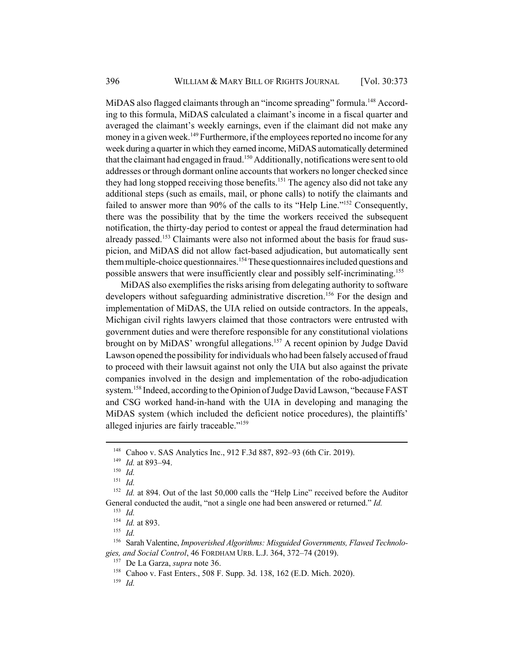MiDAS also flagged claimants through an "income spreading" formula.<sup>148</sup> According to this formula, MiDAS calculated a claimant's income in a fiscal quarter and averaged the claimant's weekly earnings, even if the claimant did not make any money in a given week.<sup>149</sup> Furthermore, if the employees reported no income for any week during a quarter in which they earned income, MiDAS automatically determined that the claimant had engaged in fraud.<sup>150</sup> Additionally, notifications were sent to old addresses or through dormant online accounts that workers no longer checked since they had long stopped receiving those benefits.<sup>151</sup> The agency also did not take any additional steps (such as emails, mail, or phone calls) to notify the claimants and failed to answer more than 90% of the calls to its "Help Line."<sup>152</sup> Consequently, there was the possibility that by the time the workers received the subsequent notification, the thirty-day period to contest or appeal the fraud determination had already passed.<sup>153</sup> Claimants were also not informed about the basis for fraud suspicion, and MiDAS did not allow fact-based adjudication, but automatically sent them multiple-choice questionnaires.<sup>154</sup> These questionnaires included questions and possible answers that were insufficiently clear and possibly self-incriminating.155

MiDAS also exemplifies the risks arising from delegating authority to software developers without safeguarding administrative discretion.<sup>156</sup> For the design and implementation of MiDAS, the UIA relied on outside contractors. In the appeals, Michigan civil rights lawyers claimed that those contractors were entrusted with government duties and were therefore responsible for any constitutional violations brought on by MiDAS' wrongful allegations.<sup>157</sup> A recent opinion by Judge David Lawson opened the possibility for individuals who had been falsely accused of fraud to proceed with their lawsuit against not only the UIA but also against the private companies involved in the design and implementation of the robo-adjudication system.<sup>158</sup> Indeed, according to the Opinion of Judge David Lawson, "because FAST and CSG worked hand-in-hand with the UIA in developing and managing the MiDAS system (which included the deficient notice procedures), the plaintiffs' alleged injuries are fairly traceable."159

<sup>&</sup>lt;sup>148</sup> Cahoo v. SAS Analytics Inc., 912 F.3d 887, 892-93 (6th Cir. 2019).

<sup>149</sup> *Id.* at 893–94.

<sup>150</sup> *Id.*

<sup>151</sup> *Id.*

<sup>&</sup>lt;sup>152</sup> *Id.* at 894. Out of the last 50,000 calls the "Help Line" received before the Auditor General conducted the audit, "not a single one had been answered or returned." *Id.*

<sup>153</sup> *Id.*

<sup>154</sup> *Id.* at 893.

<sup>155</sup> *Id.*

<sup>156</sup> Sarah Valentine, *Impoverished Algorithms: Misguided Governments, Flawed Technologies, and Social Control*, 46 FORDHAM URB. L.J. 364, 372–74 (2019).

<sup>157</sup> De La Garza, *supra* note 36.

<sup>158</sup> Cahoo v. Fast Enters., 508 F. Supp. 3d. 138, 162 (E.D. Mich. 2020).

<sup>159</sup> *Id.*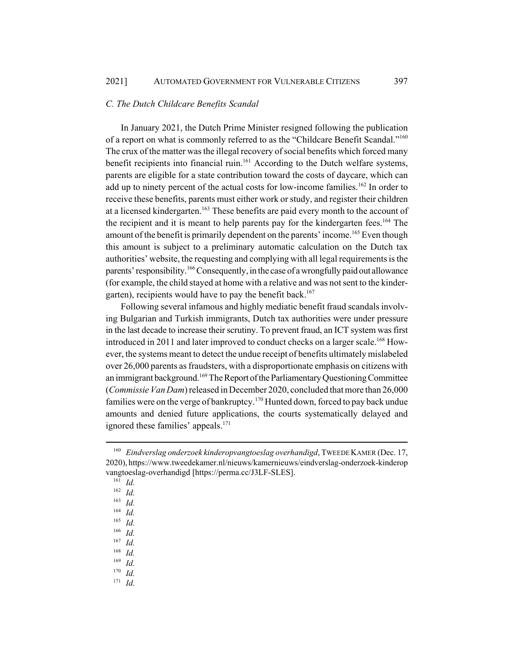#### *C. The Dutch Childcare Benefits Scandal*

In January 2021, the Dutch Prime Minister resigned following the publication of a report on what is commonly referred to as the "Childcare Benefit Scandal."160 The crux of the matter was the illegal recovery of social benefits which forced many benefit recipients into financial ruin.<sup>161</sup> According to the Dutch welfare systems, parents are eligible for a state contribution toward the costs of daycare, which can add up to ninety percent of the actual costs for low-income families.<sup>162</sup> In order to receive these benefits, parents must either work or study, and register their children at a licensed kindergarten.<sup>163</sup> These benefits are paid every month to the account of the recipient and it is meant to help parents pay for the kindergarten fees.<sup>164</sup> The amount of the benefit is primarily dependent on the parents' income.<sup>165</sup> Even though this amount is subject to a preliminary automatic calculation on the Dutch tax authorities' website, the requesting and complying with all legal requirements is the parents' responsibility.<sup>166</sup> Consequently, in the case of a wrongfully paid out allowance (for example, the child stayed at home with a relative and was not sent to the kindergarten), recipients would have to pay the benefit back.<sup>167</sup>

Following several infamous and highly mediatic benefit fraud scandals involving Bulgarian and Turkish immigrants, Dutch tax authorities were under pressure in the last decade to increase their scrutiny. To prevent fraud, an ICT system was first introduced in 2011 and later improved to conduct checks on a larger scale.<sup>168</sup> However, the systems meant to detect the undue receipt of benefits ultimately mislabeled over 26,000 parents as fraudsters, with a disproportionate emphasis on citizens with an immigrant background.<sup>169</sup> The Report of the Parliamentary Questioning Committee (*Commissie Van Dam*) released in December 2020, concluded that more than 26,000 families were on the verge of bankruptcy.<sup>170</sup> Hunted down, forced to pay back undue amounts and denied future applications, the courts systematically delayed and ignored these families' appeals. $171$ 

<sup>161</sup> *Id.*

<sup>&</sup>lt;sup>160</sup> *Eindverslag onderzoek kinderopvangtoeslag overhandigd*, TWEEDE KAMER (Dec. 17, 2020), https://www.tweedekamer.nl/nieuws/kamernieuws/eindverslag-onderzoek-kinderop vangtoeslag-overhandigd [https://perma.cc/J3LF-SLES].

<sup>162</sup> *Id.*

<sup>163</sup> *Id.*

<sup>164</sup> *Id.*

<sup>165</sup> *Id.*

<sup>166</sup> *Id.*

<sup>167</sup> *Id.*

 $\frac{168}{169}$  *Id.* 

<sup>169</sup> *Id.*

<sup>170</sup> *Id.*

<sup>171</sup> *Id.*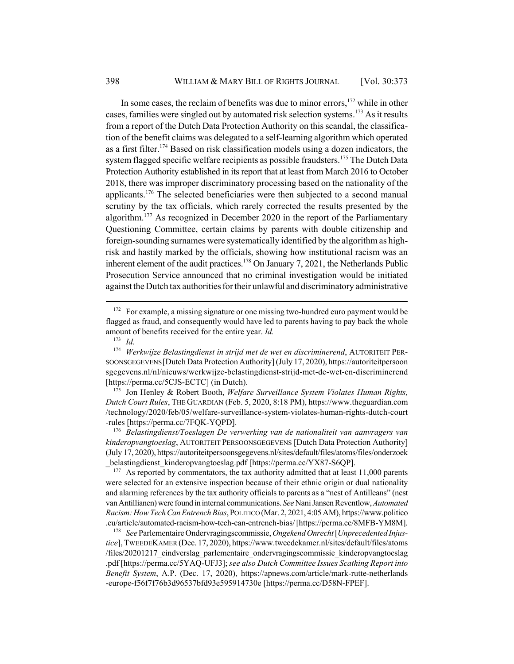In some cases, the reclaim of benefits was due to minor errors, $172$  while in other cases, families were singled out by automated risk selection systems.<sup>173</sup> As it results from a report of the Dutch Data Protection Authority on this scandal, the classification of the benefit claims was delegated to a self-learning algorithm which operated as a first filter.<sup>174</sup> Based on risk classification models using a dozen indicators, the system flagged specific welfare recipients as possible fraudsters.<sup>175</sup> The Dutch Data Protection Authority established in its report that at least from March 2016 to October 2018, there was improper discriminatory processing based on the nationality of the applicants.176 The selected beneficiaries were then subjected to a second manual scrutiny by the tax officials, which rarely corrected the results presented by the algorithm.<sup>177</sup> As recognized in December 2020 in the report of the Parliamentary Questioning Committee, certain claims by parents with double citizenship and foreign-sounding surnames were systematically identified by the algorithm as highrisk and hastily marked by the officials, showing how institutional racism was an inherent element of the audit practices.<sup>178</sup> On January 7, 2021, the Netherlands Public Prosecution Service announced that no criminal investigation would be initiated against the Dutch tax authorities for their unlawful and discriminatory administrative

<sup>175</sup> Jon Henley & Robert Booth, *Welfare Surveillance System Violates Human Rights, Dutch Court Rules*, THE GUARDIAN (Feb. 5, 2020, 8:18 PM), https://www.theguardian.com /technology/2020/feb/05/welfare-surveillance-system-violates-human-rights-dutch-court -rules [https://perma.cc/7FQK-YQPD].

<sup>176</sup> *Belastingdienst/Toeslagen De verwerking van de nationaliteit van aanvragers van kinderopvangtoeslag*, AUTORITEIT PERSOONSGEGEVENS [Dutch Data Protection Authority] (July 17, 2020), https://autoriteitpersoonsgegevens.nl/sites/default/files/atoms/files/onderzoek belastingdienst kinderopvangtoeslag.pdf [https://perma.cc/YX87-S6QP].

 $177$  As reported by commentators, the tax authority admitted that at least 11,000 parents were selected for an extensive inspection because of their ethnic origin or dual nationality and alarming references by the tax authority officials to parents as a "nest of Antilleans" (nest van Antillianen) were found in internal communications. *See* Nani Jansen Reventlow, *Automated Racism: How Tech Can Entrench Bias*, POLITICO (Mar. 2, 2021, 4:05 AM), https://www.politico .eu/article/automated-racism-how-tech-can-entrench-bias/ [https://perma.cc/8MFB-YM8M].

<sup>178</sup> *See* Parlementaire Ondervragingscommissie, *Ongekend Onrecht* [*Unprecedented Injustice*], TWEEDEKAMER (Dec. 17, 2020), https://www.tweedekamer.nl/sites/default/files/atoms /files/20201217\_eindverslag\_parlementaire\_ondervragingscommissie\_kinderopvangtoeslag .pdf [https://perma.cc/5YAQ-UFJ3]; *see also Dutch Committee Issues Scathing Report into Benefit System*, A.P. (Dec. 17, 2020), https://apnews.com/article/mark-rutte-netherlands -europe-f56f7f76b3d96537bfd93e595914730e [https://perma.cc/D58N-FPEF].

<sup>&</sup>lt;sup>172</sup> For example, a missing signature or one missing two-hundred euro payment would be flagged as fraud, and consequently would have led to parents having to pay back the whole amount of benefits received for the entire year. *Id.*

<sup>173</sup> *Id.*

<sup>174</sup> *Werkwijze Belastingdienst in strijd met de wet en discriminerend*, AUTORITEIT PER-SOONSGEGEVENS [Dutch Data Protection Authority] (July 17, 2020), https://autoriteitpersoon sgegevens.nl/nl/nieuws/werkwijze-belastingdienst-strijd-met-de-wet-en-discriminerend [https://perma.cc/5CJS-ECTC] (in Dutch).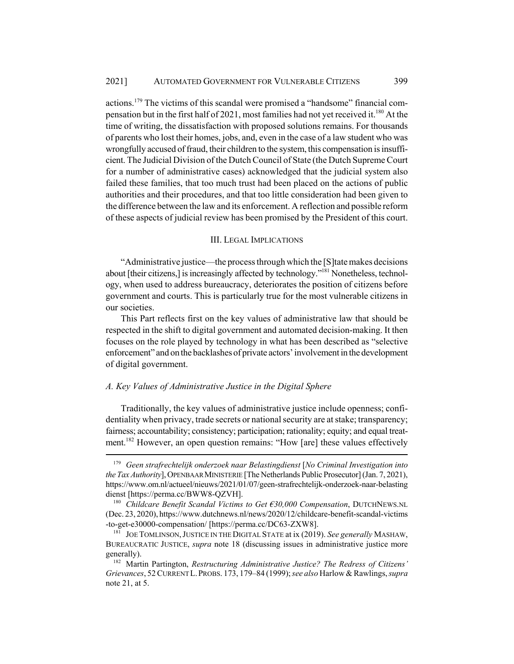actions.179 The victims of this scandal were promised a "handsome" financial compensation but in the first half of 2021, most families had not yet received it.180 At the time of writing, the dissatisfaction with proposed solutions remains. For thousands of parents who lost their homes, jobs, and, even in the case of a law student who was wrongfully accused of fraud, their children to the system, this compensation is insufficient. The Judicial Division of the Dutch Council of State (the Dutch Supreme Court for a number of administrative cases) acknowledged that the judicial system also failed these families, that too much trust had been placed on the actions of public authorities and their procedures, and that too little consideration had been given to the difference between the law and its enforcement. A reflection and possible reform of these aspects of judicial review has been promised by the President of this court.

#### III. LEGAL IMPLICATIONS

"Administrative justice—the process through which the [S]tate makes decisions about [their citizens,] is increasingly affected by technology."181 Nonetheless, technology, when used to address bureaucracy, deteriorates the position of citizens before government and courts. This is particularly true for the most vulnerable citizens in our societies.

This Part reflects first on the key values of administrative law that should be respected in the shift to digital government and automated decision-making. It then focuses on the role played by technology in what has been described as "selective enforcement" and on the backlashes of private actors' involvement in the development of digital government.

### *A. Key Values of Administrative Justice in the Digital Sphere*

Traditionally, the key values of administrative justice include openness; confidentiality when privacy, trade secrets or national security are at stake; transparency; fairness; accountability; consistency; participation; rationality; equity; and equal treatment.<sup>182</sup> However, an open question remains: "How [are] these values effectively

<sup>179</sup> *Geen strafrechtelijk onderzoek naar Belastingdienst* [*No Criminal Investigation into the Tax Authority*], OPENBAAR MINISTERIE [The Netherlands Public Prosecutor] (Jan. 7, 2021), https://www.om.nl/actueel/nieuws/2021/01/07/geen-strafrechtelijk-onderzoek-naar-belasting dienst [https://perma.cc/BWW8-QZVH].

<sup>180</sup> *Childcare Benefit Scandal Victims to Get €30,000 Compensation*, DUTCHNEWS.NL (Dec. 23, 2020), https://www.dutchnews.nl/news/2020/12/childcare-benefit-scandal-victims -to-get-e30000-compensation/ [https://perma.cc/DC63-ZXW8].

<sup>181</sup> JOE TOMLINSON,JUSTICE IN THE DIGITAL STATE at ix (2019). *See generally* MASHAW, BUREAUCRATIC JUSTICE, *supra* note 18 (discussing issues in administrative justice more generally).

<sup>182</sup> Martin Partington, *Restructuring Administrative Justice? The Redress of Citizens' Grievances*, 52 CURRENT L.PROBS. 173, 179–84 (1999); *see also* Harlow & Rawlings, *supra* note 21, at 5.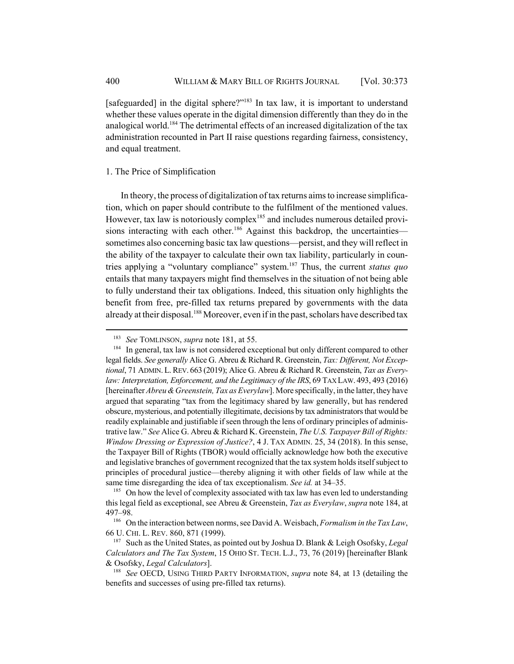[safeguarded] in the digital sphere?"<sup>183</sup> In tax law, it is important to understand whether these values operate in the digital dimension differently than they do in the analogical world.<sup>184</sup> The detrimental effects of an increased digitalization of the tax administration recounted in Part II raise questions regarding fairness, consistency, and equal treatment.

### 1. The Price of Simplification

In theory, the process of digitalization of tax returns aims to increase simplification, which on paper should contribute to the fulfilment of the mentioned values. However, tax law is notoriously complex<sup>185</sup> and includes numerous detailed provisions interacting with each other.<sup>186</sup> Against this backdrop, the uncertainties sometimes also concerning basic tax law questions—persist, and they will reflect in the ability of the taxpayer to calculate their own tax liability, particularly in countries applying a "voluntary compliance" system.187 Thus, the current *status quo* entails that many taxpayers might find themselves in the situation of not being able to fully understand their tax obligations. Indeed, this situation only highlights the benefit from free, pre-filled tax returns prepared by governments with the data already at their disposal.<sup>188</sup> Moreover, even if in the past, scholars have described tax

<sup>183</sup> *See* TOMLINSON, *supra* note 181, at 55.

<sup>&</sup>lt;sup>184</sup> In general, tax law is not considered exceptional but only different compared to other legal fields. *See generally* Alice G. Abreu & Richard R. Greenstein, *Tax: Different, Not Exceptional*, 71 ADMIN. L.REV. 663 (2019); Alice G. Abreu & Richard R. Greenstein, *Tax as Everylaw: Interpretation, Enforcement, and the Legitimacy of the IRS, 69 TAX LAW. 493, 493 (2016)* [hereinafter *Abreu & Greenstein, Tax as Everylaw*]. More specifically, in the latter, they have argued that separating "tax from the legitimacy shared by law generally, but has rendered obscure, mysterious, and potentially illegitimate, decisions by tax administrators that would be readily explainable and justifiable if seen through the lens of ordinary principles of administrative law." *See* Alice G. Abreu & Richard K. Greenstein, *The U.S. Taxpayer Bill of Rights: Window Dressing or Expression of Justice?*, 4 J. TAX ADMIN. 25, 34 (2018). In this sense, the Taxpayer Bill of Rights (TBOR) would officially acknowledge how both the executive and legislative branches of government recognized that the tax system holds itself subject to principles of procedural justice—thereby aligning it with other fields of law while at the same time disregarding the idea of tax exceptionalism. *See id.* at 34–35.

 $185$  On how the level of complexity associated with tax law has even led to understanding this legal field as exceptional, see Abreu & Greenstein, *Tax as Everylaw*, *supra* note 184, at 497–98.

<sup>186</sup> On the interaction between norms, see David A. Weisbach, *Formalism in the Tax Law*, 66 U. CHI. L. REV. 860, 871 (1999).

<sup>187</sup> Such as the United States, as pointed out by Joshua D. Blank & Leigh Osofsky, *Legal Calculators and The Tax System*, 15 OHIO ST. TECH. L.J., 73, 76 (2019) [hereinafter Blank & Osofsky, *Legal Calculators*].

<sup>188</sup> *See* OECD, USING THIRD PARTY INFORMATION, *supra* note 84, at 13 (detailing the benefits and successes of using pre-filled tax returns).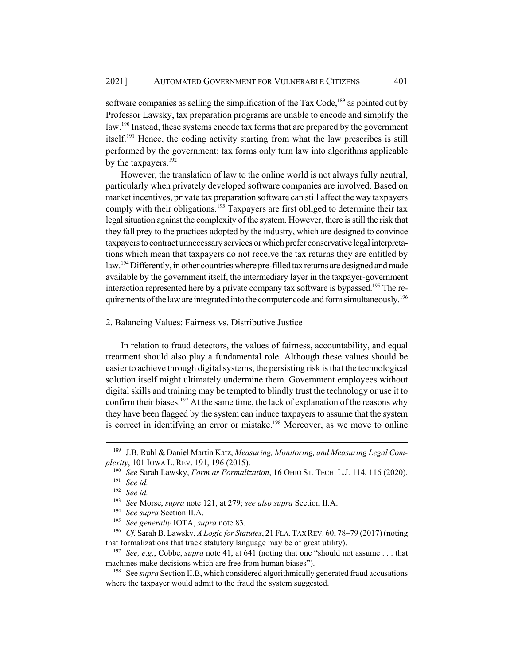software companies as selling the simplification of the Tax Code, $189$  as pointed out by Professor Lawsky, tax preparation programs are unable to encode and simplify the law.<sup>190</sup> Instead, these systems encode tax forms that are prepared by the government itself.<sup>191</sup> Hence, the coding activity starting from what the law prescribes is still performed by the government: tax forms only turn law into algorithms applicable by the taxpayers.<sup>192</sup>

However, the translation of law to the online world is not always fully neutral, particularly when privately developed software companies are involved. Based on market incentives, private tax preparation software can still affect the way taxpayers comply with their obligations.<sup>193</sup> Taxpayers are first obliged to determine their tax legal situation against the complexity of the system. However, there is still the risk that they fall prey to the practices adopted by the industry, which are designed to convince taxpayers to contract unnecessary services or which prefer conservative legal interpretations which mean that taxpayers do not receive the tax returns they are entitled by law.<sup>194</sup> Differently, in other countries where pre-filled tax returns are designed and made available by the government itself, the intermediary layer in the taxpayer-government interaction represented here by a private company tax software is bypassed.<sup>195</sup> The requirements of the law are integrated into the computer code and form simultaneously.<sup>196</sup>

### 2. Balancing Values: Fairness vs. Distributive Justice

In relation to fraud detectors, the values of fairness, accountability, and equal treatment should also play a fundamental role. Although these values should be easier to achieve through digital systems, the persisting risk is that the technological solution itself might ultimately undermine them. Government employees without digital skills and training may be tempted to blindly trust the technology or use it to confirm their biases.<sup>197</sup> At the same time, the lack of explanation of the reasons why they have been flagged by the system can induce taxpayers to assume that the system is correct in identifying an error or mistake.<sup>198</sup> Moreover, as we move to online

<sup>195</sup> *See generally* IOTA, *supra* note 83.

<sup>189</sup> J.B. Ruhl & Daniel Martin Katz, *Measuring, Monitoring, and Measuring Legal Complexity*, 101 IOWA L. REV. 191, 196 (2015).

<sup>190</sup> *See* Sarah Lawsky, *Form as Formalization*, 16 OHIO ST. TECH. L.J. 114, 116 (2020). <sup>191</sup> *See id.*

<sup>192</sup> *See id.*

<sup>193</sup> *See* Morse, *supra* note 121, at 279; *see also supra* Section II.A.

<sup>194</sup> *See supra* Section II.A.

<sup>196</sup> *Cf.* Sarah B. Lawsky, *A Logic for Statutes*, 21 FLA.TAX REV. 60, 78–79 (2017) (noting that formalizations that track statutory language may be of great utility).

<sup>197</sup> *See, e.g.*, Cobbe, *supra* note 41, at 641 (noting that one "should not assume . . . that machines make decisions which are free from human biases").

<sup>198</sup> See *supra* Section II.B, which considered algorithmically generated fraud accusations where the taxpayer would admit to the fraud the system suggested.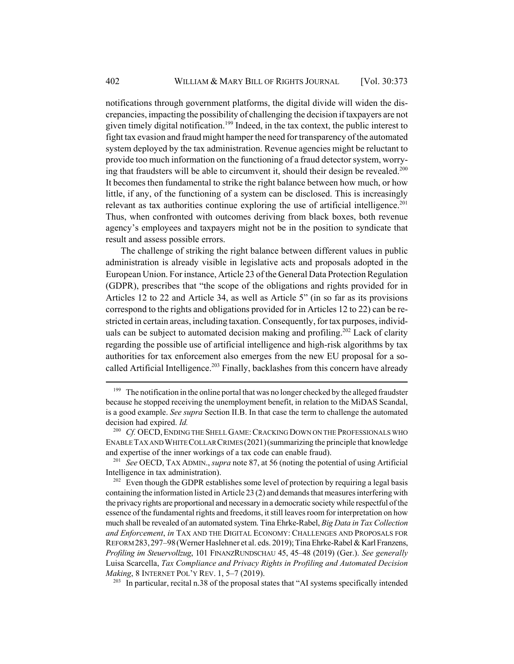notifications through government platforms, the digital divide will widen the discrepancies, impacting the possibility of challenging the decision if taxpayers are not given timely digital notification.<sup>199</sup> Indeed, in the tax context, the public interest to fight tax evasion and fraud might hamper the need for transparency of the automated system deployed by the tax administration. Revenue agencies might be reluctant to provide too much information on the functioning of a fraud detector system, worrying that fraudsters will be able to circumvent it, should their design be revealed.<sup>200</sup> It becomes then fundamental to strike the right balance between how much, or how little, if any, of the functioning of a system can be disclosed. This is increasingly relevant as tax authorities continue exploring the use of artificial intelligence.<sup>201</sup> Thus, when confronted with outcomes deriving from black boxes, both revenue agency's employees and taxpayers might not be in the position to syndicate that result and assess possible errors.

The challenge of striking the right balance between different values in public administration is already visible in legislative acts and proposals adopted in the European Union. For instance, Article 23 of the General Data Protection Regulation (GDPR), prescribes that "the scope of the obligations and rights provided for in Articles 12 to 22 and Article 34, as well as Article 5" (in so far as its provisions correspond to the rights and obligations provided for in Articles 12 to 22) can be restricted in certain areas, including taxation. Consequently, for tax purposes, individuals can be subject to automated decision making and profiling.<sup>202</sup> Lack of clarity regarding the possible use of artificial intelligence and high-risk algorithms by tax authorities for tax enforcement also emerges from the new EU proposal for a socalled Artificial Intelligence.<sup>203</sup> Finally, backlashes from this concern have already

<sup>&</sup>lt;sup>199</sup> The notification in the online portal that was no longer checked by the alleged fraudster because he stopped receiving the unemployment benefit, in relation to the MiDAS Scandal, is a good example. *See supra* Section II.B. In that case the term to challenge the automated decision had expired. *Id.*

<sup>&</sup>lt;sup>200</sup> *Cf.* OECD, ENDING THE SHELL GAME: CRACKING DOWN ON THE PROFESSIONALS WHO ENABLE TAX AND WHITE COLLAR CRIMES (2021)(summarizing the principle that knowledge and expertise of the inner workings of a tax code can enable fraud).

<sup>201</sup> *See* OECD, TAX ADMIN., *supra* note 87, at 56 (noting the potential of using Artificial Intelligence in tax administration).

 $202$  Even though the GDPR establishes some level of protection by requiring a legal basis containing the information listed in Article 23 (2) and demands that measures interfering with the privacy rights are proportional and necessary in a democratic society while respectful of the essence of the fundamental rights and freedoms, it still leaves room for interpretation on how much shall be revealed of an automated system. Tina Ehrke-Rabel, *Big Data in Tax Collection and Enforcement*, *in* TAX AND THE DIGITAL ECONOMY: CHALLENGES AND PROPOSALS FOR REFORM 283,297–98(Werner Haslehner et al. eds. 2019); Tina Ehrke-Rabel & Karl Franzens, *Profiling im Steuervollzug*, 101 FINANZRUNDSCHAU 45, 45–48 (2019) (Ger.). *See generally* Luisa Scarcella, *Tax Compliance and Privacy Rights in Profiling and Automated Decision Making*, 8 INTERNET POL'Y REV. 1, 5–7 (2019).

<sup>&</sup>lt;sup>203</sup> In particular, recital n.38 of the proposal states that "AI systems specifically intended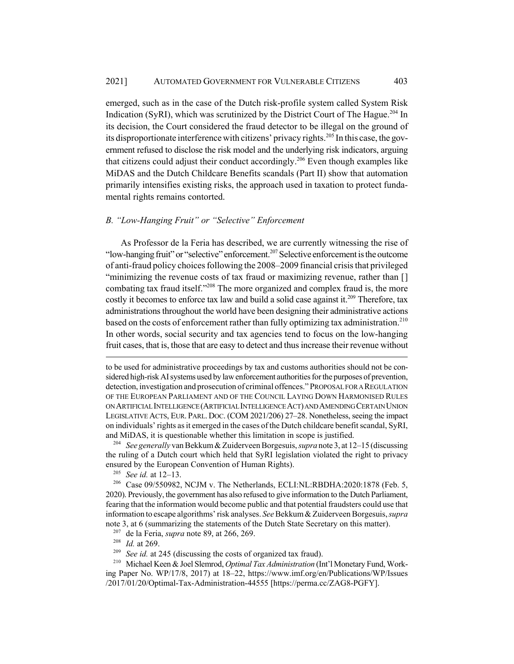emerged, such as in the case of the Dutch risk-profile system called System Risk Indication (SyRI), which was scrutinized by the District Court of The Hague.<sup>204</sup> In its decision, the Court considered the fraud detector to be illegal on the ground of its disproportionate interference with citizens' privacy rights.<sup>205</sup> In this case, the government refused to disclose the risk model and the underlying risk indicators, arguing that citizens could adjust their conduct accordingly.<sup>206</sup> Even though examples like MiDAS and the Dutch Childcare Benefits scandals (Part II) show that automation primarily intensifies existing risks, the approach used in taxation to protect fundamental rights remains contorted.

#### *B. "Low-Hanging Fruit" or "Selective" Enforcement*

As Professor de la Feria has described, we are currently witnessing the rise of "low-hanging fruit" or "selective" enforcement.207 Selective enforcement is the outcome of anti-fraud policy choices following the 2008–2009 financial crisis that privileged "minimizing the revenue costs of tax fraud or maximizing revenue, rather than [] combating tax fraud itself."<sup>208</sup> The more organized and complex fraud is, the more costly it becomes to enforce tax law and build a solid case against it.<sup>209</sup> Therefore, tax administrations throughout the world have been designing their administrative actions based on the costs of enforcement rather than fully optimizing tax administration.<sup>210</sup> In other words, social security and tax agencies tend to focus on the low-hanging fruit cases, that is, those that are easy to detect and thus increase their revenue without

<sup>204</sup> *See generally* van Bekkum & Zuiderveen Borgesuis, *supra* note 3, at 12–15 (discussing the ruling of a Dutch court which held that SyRI legislation violated the right to privacy ensured by the European Convention of Human Rights).

<sup>205</sup> *See id.* at 12–13.

<sup>206</sup> Case 09/550982, NCJM v. The Netherlands, ECLI:NL:RBDHA:2020:1878 (Feb. 5, 2020). Previously, the government has also refused to give information to the Dutch Parliament, fearing that the information would become public and that potential fraudsters could use that information to escape algorithms' risk analyses. *See* Bekkum & Zuiderveen Borgesuis, *supra* note 3, at 6 (summarizing the statements of the Dutch State Secretary on this matter).

<sup>207</sup> de la Feria, *supra* note 89, at 266, 269.

<sup>208</sup> *Id.* at 269.<br><sup>209</sup> *See id.* at 2

See id. at 245 (discussing the costs of organized tax fraud).

<sup>210</sup> Michael Keen & Joel Slemrod, *Optimal Tax Administration* (Int'l Monetary Fund, Working Paper No. WP/17/8, 2017) at 18–22, https://www.imf.org/en/Publications/WP/Issues /2017/01/20/Optimal-Tax-Administration-44555 [https://perma.cc/ZAG8-PGFY].

to be used for administrative proceedings by tax and customs authorities should not be considered high-risk AI systems used by law enforcement authorities for the purposes of prevention, detection, investigation and prosecution of criminal offences." PROPOSAL FOR A REGULATION OF THE EUROPEAN PARLIAMENT AND OF THE COUNCIL LAYING DOWN HARMONISED RULES ON ARTIFICIAL INTELLIGENCE (ARTIFICIAL INTELLIGENCE ACT) AND AMENDING CERTAIN UNION LEGISLATIVE ACTS, EUR. PARL. DOC. (COM 2021/206) 27–28. Nonetheless, seeing the impact on individuals' rights as it emerged in the cases of the Dutch childcare benefit scandal, SyRI, and MiDAS, it is questionable whether this limitation in scope is justified.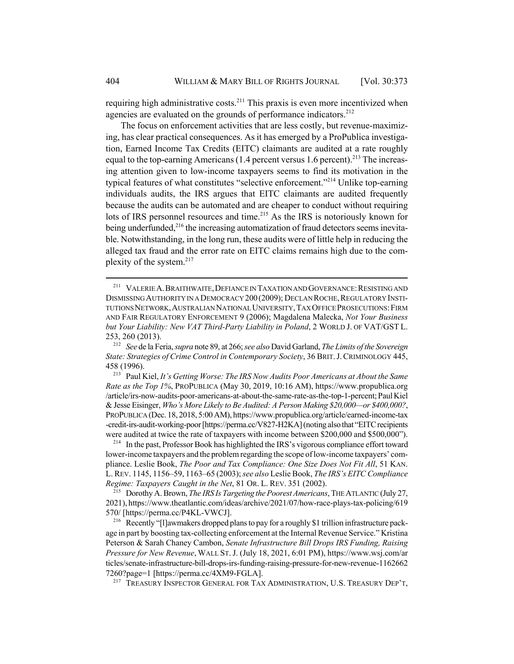requiring high administrative costs.<sup>211</sup> This praxis is even more incentivized when agencies are evaluated on the grounds of performance indicators.<sup>212</sup>

The focus on enforcement activities that are less costly, but revenue-maximizing, has clear practical consequences. As it has emerged by a ProPublica investigation, Earned Income Tax Credits (EITC) claimants are audited at a rate roughly equal to the top-earning Americans  $(1.4$  percent versus 1.6 percent).<sup>213</sup> The increasing attention given to low-income taxpayers seems to find its motivation in the typical features of what constitutes "selective enforcement."214 Unlike top-earning individuals audits, the IRS argues that EITC claimants are audited frequently because the audits can be automated and are cheaper to conduct without requiring lots of IRS personnel resources and time.<sup>215</sup> As the IRS is notoriously known for being underfunded,<sup>216</sup> the increasing automatization of fraud detectors seems inevitable. Notwithstanding, in the long run, these audits were of little help in reducing the alleged tax fraud and the error rate on EITC claims remains high due to the complexity of the system.217

<sup>214</sup> In the past, Professor Book has highlighted the IRS's vigorous compliance effort toward lower-income taxpayers and the problem regarding the scope of low-income taxpayers' compliance. Leslie Book, *The Poor and Tax Compliance: One Size Does Not Fit All*, 51 KAN. L. REV. 1145, 1156–59, 1163–65 (2003); *see also* Leslie Book, *The IRS's EITC Compliance Regime: Taxpayers Caught in the Net*, 81 OR. L. REV. 351 (2002).

<sup>215</sup> Dorothy A. Brown, *The IRS Is Targeting the Poorest Americans*, THE ATLANTIC (July 27, 2021), https://www.theatlantic.com/ideas/archive/2021/07/how-race-plays-tax-policing/619 570/ [https://perma.cc/P4KL-VWCJ].

<sup>216</sup> Recently "[l]awmakers dropped plans to pay for a roughly \$1 trillion infrastructure package in part by boosting tax-collecting enforcement at the Internal Revenue Service." Kristina Peterson & Sarah Chaney Cambon, *Senate Infrastructure Bill Drops IRS Funding, Raising Pressure for New Revenue*, WALL ST.J. (July 18, 2021, 6:01 PM), https://www.wsj.com/ar ticles/senate-infrastructure-bill-drops-irs-funding-raising-pressure-for-new-revenue-1162662 7260?page=1 [https://perma.cc/4XM9-FGLA].

<sup>217</sup> TREASURY INSPECTOR GENERAL FOR TAX ADMINISTRATION, U.S. TREASURY DEP'T,

<sup>&</sup>lt;sup>211</sup> VALERIE A. BRAITHWAITE, DEFIANCE IN TAXATION AND GOVERNANCE: RESISTING AND DISMISSING AUTHORITY IN A DEMOCRACY 200 (2009); DECLAN ROCHE, REGULATORY INSTI-TUTIONS NETWORK,AUSTRALIAN NATIONAL UNIVERSITY,TAX OFFICE PROSECUTIONS:FIRM AND FAIR REGULATORY ENFORCEMENT 9 (2006); Magdalena Malecka, *Not Your Business but Your Liability: New VAT Third-Party Liability in Poland*, 2 WORLD J. OF VAT/GST L. 253, 260 (2013).

<sup>212</sup> *See* de la Feria, *supra* note 89, at 266; *see also* David Garland, *The Limits of the Sovereign State: Strategies of Crime Control in Contemporary Society*, 36 BRIT.J.CRIMINOLOGY 445, 458 (1996).

<sup>213</sup> Paul Kiel, *It's Getting Worse: The IRS Now Audits Poor Americans at About the Same Rate as the Top 1%*, PROPUBLICA (May 30, 2019, 10:16 AM), https://www.propublica.org /article/irs-now-audits-poor-americans-at-about-the-same-rate-as-the-top-1-percent; Paul Kiel & Jesse Eisinger, *Who's More Likely to Be Audited: A Person Making \$20,000—or \$400,000?*, PROPUBLICA (Dec. 18, 2018, 5:00 AM), https://www.propublica.org/article/earned-income-tax -credit-irs-audit-working-poor [https://perma.cc/V827-H2KA] (noting also that "EITC recipients were audited at twice the rate of taxpayers with income between \$200,000 and \$500,000").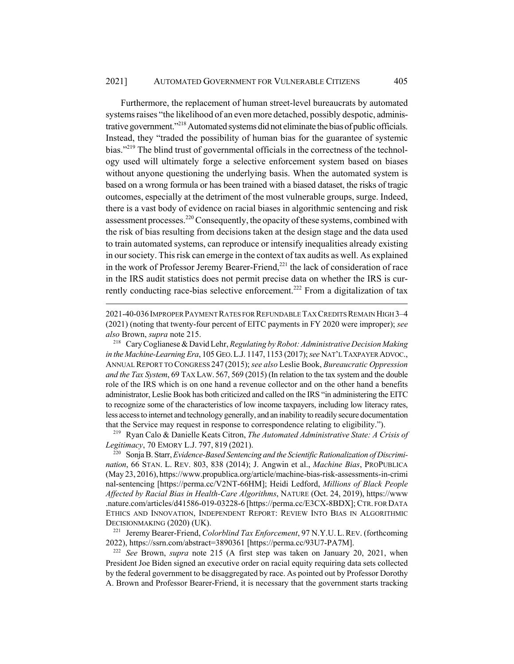Furthermore, the replacement of human street-level bureaucrats by automated systems raises "the likelihood of an even more detached, possibly despotic, administrative government."<sup>218</sup> Automated systems did not eliminate the bias of public officials. Instead, they "traded the possibility of human bias for the guarantee of systemic bias."<sup>219</sup> The blind trust of governmental officials in the correctness of the technology used will ultimately forge a selective enforcement system based on biases without anyone questioning the underlying basis. When the automated system is based on a wrong formula or has been trained with a biased dataset, the risks of tragic outcomes, especially at the detriment of the most vulnerable groups, surge. Indeed, there is a vast body of evidence on racial biases in algorithmic sentencing and risk assessment processes.<sup>220</sup> Consequently, the opacity of these systems, combined with the risk of bias resulting from decisions taken at the design stage and the data used to train automated systems, can reproduce or intensify inequalities already existing in our society. This risk can emerge in the context of tax audits as well. As explained in the work of Professor Jeremy Bearer-Friend, $^{221}$  the lack of consideration of race in the IRS audit statistics does not permit precise data on whether the IRS is currently conducting race-bias selective enforcement.<sup>222</sup> From a digitalization of tax

2021-40-036 IMPROPER PAYMENT RATES FOR REFUNDABLE TAX CREDITS REMAIN HIGH 3–4 (2021) (noting that twenty-four percent of EITC payments in FY 2020 were improper); *see also* Brown, *supra* note 215.

<sup>218</sup> Cary Coglianese & David Lehr, *Regulating by Robot: Administrative Decision Making in the Machine-Learning Era*, 105 GEO.L.J. 1147, 1153 (2017); *see* NAT'L TAXPAYER ADVOC., ANNUAL REPORT TO CONGRESS 247 (2015); *see also* Leslie Book, *Bureaucratic Oppression and the Tax System*, 69 TAX LAW. 567, 569 (2015) (In relation to the tax system and the double role of the IRS which is on one hand a revenue collector and on the other hand a benefits administrator, Leslie Book has both criticized and called on the IRS "in administering the EITC to recognize some of the characteristics of low income taxpayers, including low literacy rates, less access to internet and technology generally, and an inability to readily secure documentation that the Service may request in response to correspondence relating to eligibility.").

<sup>219</sup> Ryan Calo & Danielle Keats Citron, *The Automated Administrative State: A Crisis of Legitimacy*, 70 EMORY L.J. 797, 819 (2021).

<sup>220</sup> Sonja B. Starr, *Evidence-Based Sentencing and the Scientific Rationalization of Discrimination*, 66 STAN. L. REV. 803, 838 (2014); J. Angwin et al., *Machine Bias*, PROPUBLICA (May 23, 2016), https://www.propublica.org/article/machine-bias-risk-assessments-in-crimi nal-sentencing [https://perma.cc/V2NT-66HM]; Heidi Ledford, *Millions of Black People Affected by Racial Bias in Health-Care Algorithms*, NATURE (Oct. 24, 2019), https://www .nature.com/articles/d41586-019-03228-6 [https://perma.cc/E3CX-8BDX]; CTR. FOR DATA ETHICS AND INNOVATION, INDEPENDENT REPORT: REVIEW INTO BIAS IN ALGORITHMIC DECISIONMAKING (2020) (UK).

<sup>221</sup> Jeremy Bearer-Friend, *Colorblind Tax Enforcement*, 97 N.Y.U. L. REV. (forthcoming 2022), https://ssrn.com/abstract=3890361 [https://perma.cc/93U7-PA7M].

<sup>222</sup> *See* Brown, *supra* note 215 (A first step was taken on January 20, 2021, when President Joe Biden signed an executive order on racial equity requiring data sets collected by the federal government to be disaggregated by race. As pointed out by Professor Dorothy A. Brown and Professor Bearer-Friend, it is necessary that the government starts tracking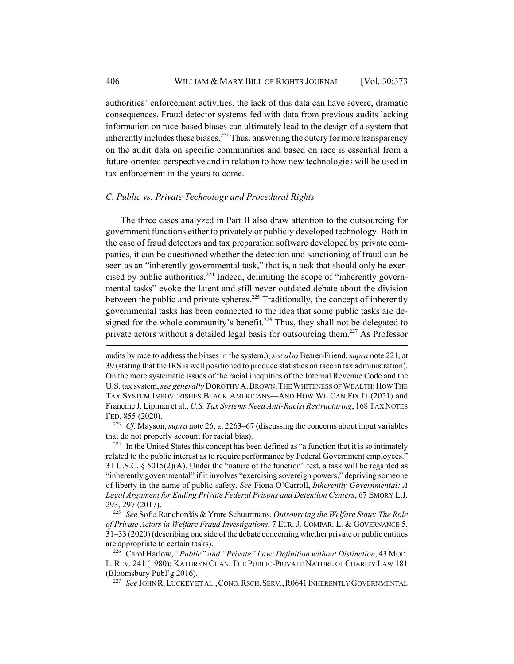authorities' enforcement activities, the lack of this data can have severe, dramatic consequences. Fraud detector systems fed with data from previous audits lacking information on race-based biases can ultimately lead to the design of a system that inherently includes these biases.<sup>223</sup> Thus, answering the outcry for more transparency on the audit data on specific communities and based on race is essential from a future-oriented perspective and in relation to how new technologies will be used in tax enforcement in the years to come.

### *C. Public vs. Private Technology and Procedural Rights*

The three cases analyzed in Part II also draw attention to the outsourcing for government functions either to privately or publicly developed technology. Both in the case of fraud detectors and tax preparation software developed by private companies, it can be questioned whether the detection and sanctioning of fraud can be seen as an "inherently governmental task," that is, a task that should only be exercised by public authorities.<sup>224</sup> Indeed, delimiting the scope of "inherently governmental tasks" evoke the latent and still never outdated debate about the division between the public and private spheres.<sup>225</sup> Traditionally, the concept of inherently governmental tasks has been connected to the idea that some public tasks are designed for the whole community's benefit.<sup>226</sup> Thus, they shall not be delegated to private actors without a detailed legal basis for outsourcing them.<sup>227</sup> As Professor

audits by race to address the biases in the system.); *see also* Bearer-Friend, *supra* note 221, at 39 (stating that the IRS is well positioned to produce statistics on race in tax administration). On the more systematic issues of the racial inequities of the Internal Revenue Code and the U.S. tax system, *see generally* DOROTHY A. BROWN, THE WHITENESS OF WEALTH: HOW THE TAX SYSTEM IMPOVERISHES BLACK AMERICANS—AND HOW WE CAN FIX IT (2021) and Francine J. Lipman et al., *U.S. Tax Systems Need Anti-Racist Restructuring*, 168 TAX NOTES FED. 855 (2020).

<sup>223</sup> *Cf.* Mayson, *supra* note 26, at 2263–67 (discussing the concerns about input variables that do not properly account for racial bias).

 $224$  In the United States this concept has been defined as "a function that it is so intimately related to the public interest as to require performance by Federal Government employees." 31 U.S.C. § 5015(2)(A). Under the "nature of the function" test, a task will be regarded as "inherently governmental" if it involves "exercising sovereign powers," depriving someone of liberty in the name of public safety. *See* Fiona O'Carroll, *Inherently Governmental: A Legal Argument for Ending Private Federal Prisons and Detention Centers*, 67 EMORY L.J. 293, 297 (2017).

<sup>225</sup> *See* Sofia Ranchordás & Ymre Schuurmans, *Outsourcing the Welfare State: The Role of Private Actors in Welfare Fraud Investigations*, 7 EUR. J. COMPAR. L. & GOVERNANCE 5, 31–33 (2020) (describing one side of the debate concerning whether private or public entities are appropriate to certain tasks).

<sup>226</sup> Carol Harlow, *"Public" and "Private" Law: Definition without Distinction*, 43 MOD. L. REV. 241 (1980); KATHRYN CHAN, THE PUBLIC-PRIVATE NATURE OF CHARITY LAW 181 (Bloomsbury Publ'g 2016).

<sup>&</sup>lt;sup>227</sup> See JOHN R. LUCKEY ET AL., CONG. RSCH. SERV., R0641 INHERENTLY GOVERNMENTAL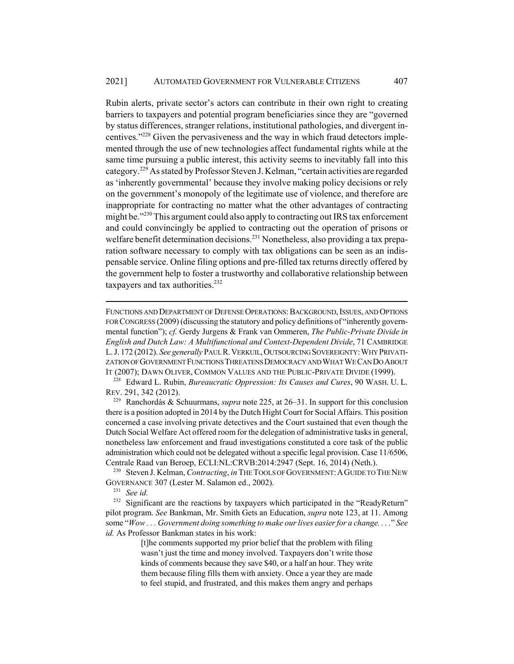Rubin alerts, private sector's actors can contribute in their own right to creating barriers to taxpayers and potential program beneficiaries since they are "governed by status differences, stranger relations, institutional pathologies, and divergent incentives."228 Given the pervasiveness and the way in which fraud detectors implemented through the use of new technologies affect fundamental rights while at the same time pursuing a public interest, this activity seems to inevitably fall into this category.229 As stated by Professor Steven J. Kelman, "certain activities are regarded as 'inherently governmental' because they involve making policy decisions or rely on the government's monopoly of the legitimate use of violence, and therefore are inappropriate for contracting no matter what the other advantages of contracting might be."<sup>230</sup> This argument could also apply to contracting out IRS tax enforcement and could convincingly be applied to contracting out the operation of prisons or welfare benefit determination decisions.<sup>231</sup> Nonetheless, also providing a tax preparation software necessary to comply with tax obligations can be seen as an indispensable service. Online filing options and pre-filled tax returns directly offered by the government help to foster a trustworthy and collaborative relationship between taxpayers and tax authorities. $232$ 

<sup>228</sup> Edward L. Rubin, *Bureaucratic Oppression: Its Causes and Cures*, 90 WASH. U. L. REV. 291, 342 (2012).

<sup>229</sup> Ranchordás & Schuurmans, *supra* note 225, at 26–31. In support for this conclusion there is a position adopted in 2014 by the Dutch Hight Court for Social Affairs. This position concerned a case involving private detectives and the Court sustained that even though the Dutch Social Welfare Act offered room for the delegation of administrative tasks in general, nonetheless law enforcement and fraud investigations constituted a core task of the public administration which could not be delegated without a specific legal provision. Case 11/6506, Centrale Raad van Beroep, ECLI:NL:CRVB:2014:2947 (Sept. 16, 2014) (Neth.).

<sup>230</sup> Steven J. Kelman, *Contracting*, *in* THE TOOLS OF GOVERNMENT: A GUIDE TO THE NEW GOVERNANCE 307 (Lester M. Salamon ed., 2002).

<sup>231</sup> *See id.*

<sup>232</sup> Significant are the reactions by taxpayers which participated in the "ReadyReturn" pilot program. *See* Bankman, Mr. Smith Gets an Education, *supra* note 123, at 11. Among some "*Wow . . . Government doing something to make our lives easier for a change. . . .*" *See id.* As Professor Bankman states in his work:

> [t]he comments supported my prior belief that the problem with filing wasn't just the time and money involved. Taxpayers don't write those kinds of comments because they save \$40, or a half an hour. They write them because filing fills them with anxiety. Once a year they are made to feel stupid, and frustrated, and this makes them angry and perhaps

FUNCTIONS AND DEPARTMENT OF DEFENSE OPERATIONS: BACKGROUND, ISSUES, AND OPTIONS FOR CONGRESS (2009) (discussing the statutory and policy definitions of "inherently governmental function"); *cf.* Gerdy Jurgens & Frank van Ommeren, *The Public-Private Divide in English and Dutch Law: A Multifunctional and Context-Dependent Divide*, 71 CAMBRIDGE L. J. 172 (2012). *See generally* PAUL R.VERKUIL,OUTSOURCING SOVEREIGNTY:WHY PRIVATI-ZATION OF GOVERNMENT FUNCTIONS THREATENS DEMOCRACY AND WHAT WE CAN DO ABOUT IT (2007); DAWN OLIVER, COMMON VALUES AND THE PUBLIC-PRIVATE DIVIDE (1999).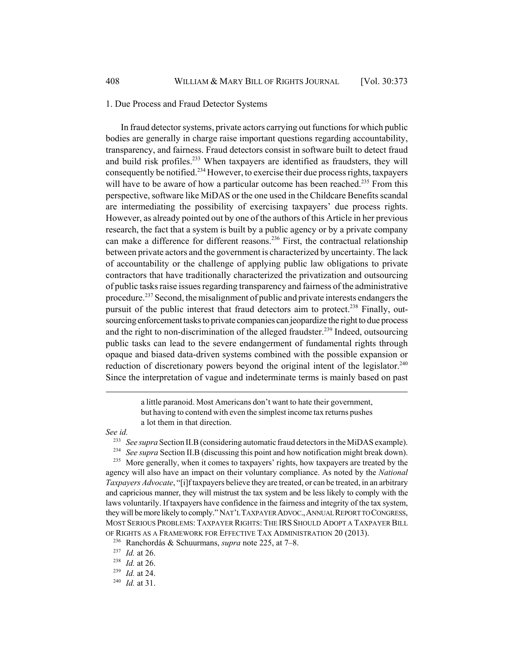1. Due Process and Fraud Detector Systems

In fraud detector systems, private actors carrying out functions for which public bodies are generally in charge raise important questions regarding accountability, transparency, and fairness. Fraud detectors consist in software built to detect fraud and build risk profiles.<sup>233</sup> When taxpayers are identified as fraudsters, they will consequently be notified.234 However, to exercise their due process rights, taxpayers will have to be aware of how a particular outcome has been reached.<sup>235</sup> From this perspective, software like MiDAS or the one used in the Childcare Benefits scandal are intermediating the possibility of exercising taxpayers' due process rights. However, as already pointed out by one of the authors of this Article in her previous research, the fact that a system is built by a public agency or by a private company can make a difference for different reasons.<sup>236</sup> First, the contractual relationship between private actors and the government is characterized by uncertainty. The lack of accountability or the challenge of applying public law obligations to private contractors that have traditionally characterized the privatization and outsourcing of public tasks raise issues regarding transparency and fairness of the administrative procedure.237 Second, the misalignment of public and private interests endangers the pursuit of the public interest that fraud detectors aim to protect.<sup>238</sup> Finally, outsourcing enforcement tasks to private companies can jeopardize the right to due process and the right to non-discrimination of the alleged fraudster.<sup>239</sup> Indeed, outsourcing public tasks can lead to the severe endangerment of fundamental rights through opaque and biased data-driven systems combined with the possible expansion or reduction of discretionary powers beyond the original intent of the legislator.<sup>240</sup> Since the interpretation of vague and indeterminate terms is mainly based on past

> a little paranoid. Most Americans don't want to hate their government, but having to contend with even the simplest income tax returns pushes a lot them in that direction.

*See id.*

<sup>234</sup> *See supra* Section II.B (discussing this point and how notification might break down). <sup>235</sup> More generally, when it comes to taxpayers' rights, how taxpayers are treated by the agency will also have an impact on their voluntary compliance. As noted by the *National Taxpayers Advocate*, "[i]f taxpayers believe they are treated, or can be treated, in an arbitrary and capricious manner, they will mistrust the tax system and be less likely to comply with the laws voluntarily. If taxpayers have confidence in the fairness and integrity of the tax system, they will be more likely to comply." NAT'L TAXPAYER ADVOC.,ANNUAL REPORT TO CONGRESS, MOST SERIOUS PROBLEMS: TAXPAYER RIGHTS: THE IRS SHOULD ADOPT A TAXPAYER BILL OF RIGHTS AS A FRAMEWORK FOR EFFECTIVE TAX ADMINISTRATION 20 (2013).

<sup>233</sup> *See supra* Section II.B (considering automatic fraud detectors in the MiDAS example).

<sup>236</sup> Ranchordás & Schuurmans, *supra* note 225, at 7–8.

<sup>237</sup> *Id.* at 26.

<sup>238</sup> *Id.* at 26.

<sup>239</sup> *Id.* at 24.

<sup>240</sup> *Id.* at 31.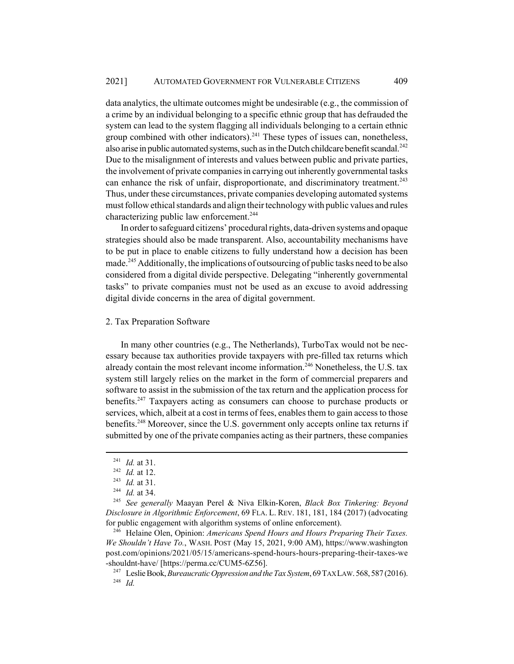data analytics, the ultimate outcomes might be undesirable (e.g., the commission of a crime by an individual belonging to a specific ethnic group that has defrauded the system can lead to the system flagging all individuals belonging to a certain ethnic group combined with other indicators).<sup>241</sup> These types of issues can, nonetheless, also arise in public automated systems, such as in the Dutch childcare benefit scandal.<sup>242</sup> Due to the misalignment of interests and values between public and private parties, the involvement of private companies in carrying out inherently governmental tasks can enhance the risk of unfair, disproportionate, and discriminatory treatment.<sup>243</sup> Thus, under these circumstances, private companies developing automated systems must follow ethical standards and align their technology with public values and rules characterizing public law enforcement.<sup>244</sup>

In order to safeguard citizens' procedural rights, data-driven systems and opaque strategies should also be made transparent. Also, accountability mechanisms have to be put in place to enable citizens to fully understand how a decision has been made.<sup>245</sup> Additionally, the implications of outsourcing of public tasks need to be also considered from a digital divide perspective. Delegating "inherently governmental tasks" to private companies must not be used as an excuse to avoid addressing digital divide concerns in the area of digital government.

### 2. Tax Preparation Software

In many other countries (e.g., The Netherlands), TurboTax would not be necessary because tax authorities provide taxpayers with pre-filled tax returns which already contain the most relevant income information.<sup>246</sup> Nonetheless, the U.S. tax system still largely relies on the market in the form of commercial preparers and software to assist in the submission of the tax return and the application process for benefits.<sup>247</sup> Taxpayers acting as consumers can choose to purchase products or services, which, albeit at a cost in terms of fees, enables them to gain access to those benefits.<sup>248</sup> Moreover, since the U.S. government only accepts online tax returns if submitted by one of the private companies acting as their partners, these companies

<sup>241</sup> *Id.* at 31.

<sup>242</sup> *Id.* at 12.

<sup>243</sup> *Id.* at 31.

<sup>244</sup> *Id.* at 34.

<sup>245</sup> *See generally* Maayan Perel & Niva Elkin-Koren, *Black Box Tinkering: Beyond Disclosure in Algorithmic Enforcement*, 69 FLA. L. REV. 181, 181, 184 (2017) (advocating for public engagement with algorithm systems of online enforcement).

<sup>246</sup> Helaine Olen, Opinion: *Americans Spend Hours and Hours Preparing Their Taxes. We Shouldn't Have To.*, WASH. POST (May 15, 2021, 9:00 AM), https://www.washington post.com/opinions/2021/05/15/americans-spend-hours-hours-preparing-their-taxes-we -shouldnt-have/ [https://perma.cc/CUM5-6Z56].

<sup>247</sup> Leslie Book, *Bureaucratic Oppression and the Tax System*, 69 TAX LAW. 568, 587 (2016). <sup>248</sup> *Id.*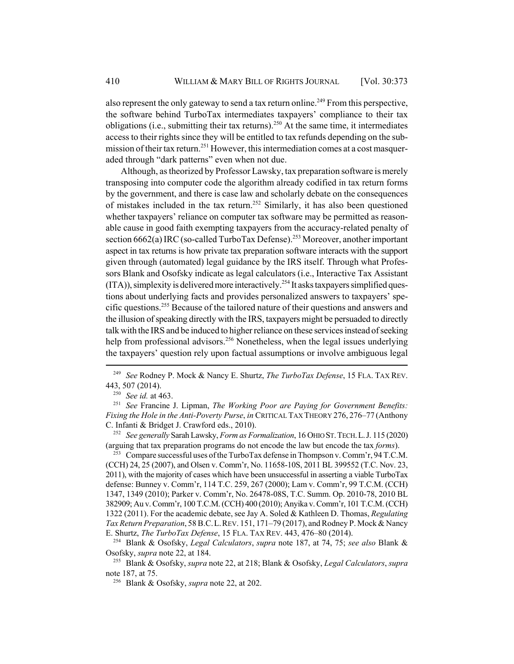also represent the only gateway to send a tax return online.<sup>249</sup> From this perspective, the software behind TurboTax intermediates taxpayers' compliance to their tax obligations (i.e., submitting their tax returns).<sup>250</sup> At the same time, it intermediates access to their rights since they will be entitled to tax refunds depending on the submission of their tax return.<sup>251</sup> However, this intermediation comes at a cost masqueraded through "dark patterns" even when not due.

Although, as theorized by Professor Lawsky, tax preparation software is merely transposing into computer code the algorithm already codified in tax return forms by the government, and there is case law and scholarly debate on the consequences of mistakes included in the tax return.<sup>252</sup> Similarly, it has also been questioned whether taxpayers' reliance on computer tax software may be permitted as reasonable cause in good faith exempting taxpayers from the accuracy-related penalty of section  $6662(a)$  IRC (so-called TurboTax Defense).<sup>253</sup> Moreover, another important aspect in tax returns is how private tax preparation software interacts with the support given through (automated) legal guidance by the IRS itself. Through what Professors Blank and Osofsky indicate as legal calculators (i.e., Interactive Tax Assistant  $(ITA)$ ), simplexity is delivered more interactively.<sup>254</sup> It asks taxpayers simplified questions about underlying facts and provides personalized answers to taxpayers' specific questions.255 Because of the tailored nature of their questions and answers and the illusion of speaking directly with the IRS, taxpayers might be persuaded to directly talk with the IRS and be induced to higher reliance on these services instead of seeking help from professional advisors.<sup>256</sup> Nonetheless, when the legal issues underlying the taxpayers' question rely upon factual assumptions or involve ambiguous legal

<sup>252</sup> *See generally* Sarah Lawsky, *Form as Formalization*, 16 OHIO ST.TECH.L.J. 115 (2020) (arguing that tax preparation programs do not encode the law but encode the tax *forms*).

<sup>253</sup> Compare successful uses of the TurboTax defense in Thompson v. Comm'r, 94 T.C.M. (CCH) 24, 25 (2007), and Olsen v. Comm'r, No. 11658-10S, 2011 BL 399552 (T.C. Nov. 23, 2011), with the majority of cases which have been unsuccessful in asserting a viable TurboTax defense: Bunney v. Comm'r, 114 T.C. 259, 267 (2000); Lam v. Comm'r, 99 T.C.M. (CCH) 1347, 1349 (2010); Parker v. Comm'r, No. 26478-08S, T.C. Summ. Op. 2010-78, 2010 BL 382909; Au v. Comm'r, 100 T.C.M. (CCH) 400 (2010); Anyika v. Comm'r, 101 T.C.M. (CCH) 1322 (2011). For the academic debate, see Jay A. Soled & Kathleen D. Thomas, *Regulating Tax Return Preparation*, 58 B.C.L.REV. 151, 171–79 (2017), and Rodney P. Mock & Nancy E. Shurtz, *The TurboTax Defense*, 15 FLA. TAX REV. 443, 476–80 (2014).

<sup>254</sup> Blank & Osofsky, *Legal Calculators*, *supra* note 187, at 74, 75; *see also* Blank & Osofsky, *supra* note 22, at 184.

<sup>249</sup> *See* Rodney P. Mock & Nancy E. Shurtz, *The TurboTax Defense*, 15 FLA. TAX REV. 443, 507 (2014).

<sup>250</sup> *See id.* at 463.

<sup>251</sup> *See* Francine J. Lipman, *The Working Poor are Paying for Government Benefits: Fixing the Hole in the Anti-Poverty Purse*, *in* CRITICAL TAX THEORY 276, 276–77 (Anthony C. Infanti & Bridget J. Crawford eds., 2010).

<sup>255</sup> Blank & Osofsky, *supra* note 22, at 218; Blank & Osofsky, *Legal Calculators*, *supra* note 187, at 75.

<sup>256</sup> Blank & Osofsky, *supra* note 22, at 202.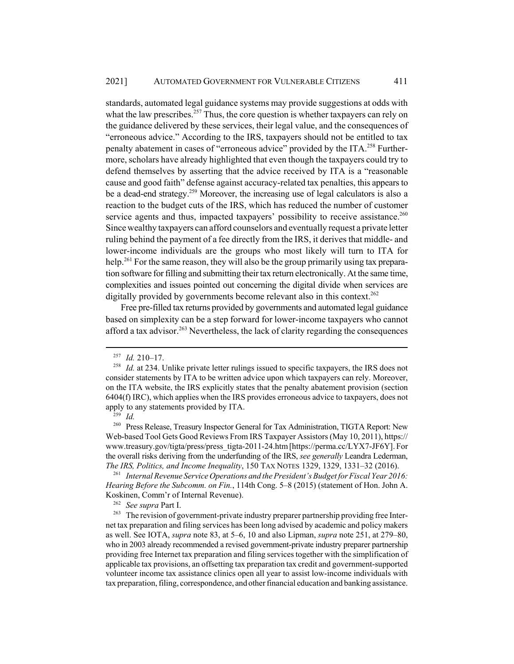standards, automated legal guidance systems may provide suggestions at odds with what the law prescribes.<sup>257</sup> Thus, the core question is whether taxpayers can rely on the guidance delivered by these services, their legal value, and the consequences of "erroneous advice." According to the IRS, taxpayers should not be entitled to tax penalty abatement in cases of "erroneous advice" provided by the ITA.<sup>258</sup> Furthermore, scholars have already highlighted that even though the taxpayers could try to defend themselves by asserting that the advice received by ITA is a "reasonable cause and good faith" defense against accuracy-related tax penalties, this appears to be a dead-end strategy.259 Moreover, the increasing use of legal calculators is also a reaction to the budget cuts of the IRS, which has reduced the number of customer service agents and thus, impacted taxpayers' possibility to receive assistance.<sup>260</sup> Since wealthy taxpayers can afford counselors and eventually request a private letter ruling behind the payment of a fee directly from the IRS, it derives that middle- and lower-income individuals are the groups who most likely will turn to ITA for help.<sup>261</sup> For the same reason, they will also be the group primarily using tax preparation software for filling and submitting their tax return electronically. At the same time, complexities and issues pointed out concerning the digital divide when services are digitally provided by governments become relevant also in this context.<sup>262</sup>

Free pre-filled tax returns provided by governments and automated legal guidance based on simplexity can be a step forward for lower-income taxpayers who cannot afford a tax advisor.<sup>263</sup> Nevertheless, the lack of clarity regarding the consequences

 $\int_{259}^{1}$  *Id.* 

<sup>261</sup> *Internal Revenue Service Operations and the President's Budget for Fiscal Year 2016: Hearing Before the Subcomm. on Fin.*, 114th Cong. 5–8 (2015) (statement of Hon. John A. Koskinen, Comm'r of Internal Revenue).

<sup>262</sup> *See supra* Part I.

<sup>&</sup>lt;sup>257</sup> *Id.* 210–17.<br><sup>258</sup> *Id.* at 234. L

*Id.* at 234. Unlike private letter rulings issued to specific taxpayers, the IRS does not consider statements by ITA to be written advice upon which taxpayers can rely. Moreover, on the ITA website, the IRS explicitly states that the penalty abatement provision (section 6404(f) IRC), which applies when the IRS provides erroneous advice to taxpayers, does not apply to any statements provided by ITA.

<sup>&</sup>lt;sup>260</sup> Press Release, Treasury Inspector General for Tax Administration, TIGTA Report: New Web-based Tool Gets Good Reviews From IRS Taxpayer Assistors (May 10, 2011), https:// www.treasury.gov/tigta/press/press\_tigta-2011-24.htm [https://perma.cc/LYX7-JF6Y]. For the overall risks deriving from the underfunding of the IRS, *see generally* Leandra Lederman, *The IRS, Politics, and Income Inequality*, 150 TAX NOTES 1329, 1329, 1331–32 (2016).

<sup>&</sup>lt;sup>263</sup> The revision of government-private industry preparer partnership providing free Internet tax preparation and filing services has been long advised by academic and policy makers as well. See IOTA, *supra* note 83, at 5–6, 10 and also Lipman, *supra* note 251, at 279–80, who in 2003 already recommended a revised government-private industry preparer partnership providing free Internet tax preparation and filing services together with the simplification of applicable tax provisions, an offsetting tax preparation tax credit and government-supported volunteer income tax assistance clinics open all year to assist low-income individuals with tax preparation, filing, correspondence, and other financial education and banking assistance.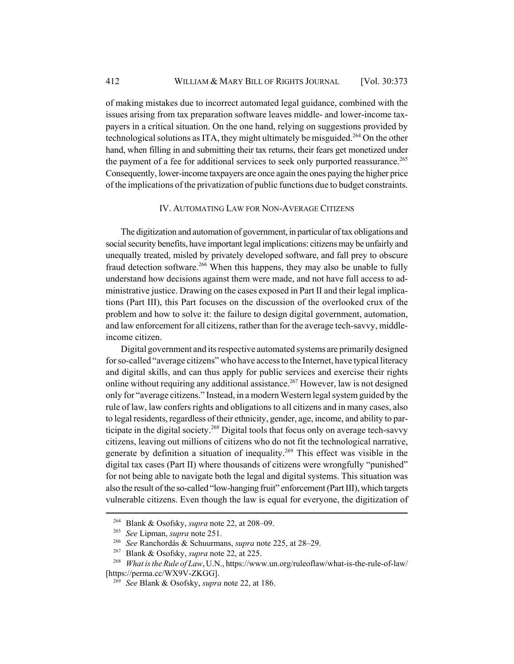of making mistakes due to incorrect automated legal guidance, combined with the issues arising from tax preparation software leaves middle- and lower-income taxpayers in a critical situation. On the one hand, relying on suggestions provided by technological solutions as ITA, they might ultimately be misguided.<sup>264</sup> On the other hand, when filling in and submitting their tax returns, their fears get monetized under the payment of a fee for additional services to seek only purported reassurance.<sup>265</sup> Consequently, lower-income taxpayers are once again the ones paying the higher price of the implications of the privatization of public functions due to budget constraints.

### IV. AUTOMATING LAW FOR NON-AVERAGE CITIZENS

The digitization and automation of government, in particular of tax obligations and social security benefits, have important legal implications: citizens may be unfairly and unequally treated, misled by privately developed software, and fall prey to obscure fraud detection software.<sup>266</sup> When this happens, they may also be unable to fully understand how decisions against them were made, and not have full access to administrative justice. Drawing on the cases exposed in Part II and their legal implications (Part III), this Part focuses on the discussion of the overlooked crux of the problem and how to solve it: the failure to design digital government, automation, and law enforcement for all citizens, rather than for the average tech-savvy, middleincome citizen.

Digital government and its respective automated systems are primarily designed for so-called "average citizens" who have access to the Internet, have typical literacy and digital skills, and can thus apply for public services and exercise their rights online without requiring any additional assistance.<sup>267</sup> However, law is not designed only for "average citizens." Instead, in a modern Western legal system guided by the rule of law, law confers rights and obligations to all citizens and in many cases, also to legal residents, regardless of their ethnicity, gender, age, income, and ability to participate in the digital society.<sup>268</sup> Digital tools that focus only on average tech-savvy citizens, leaving out millions of citizens who do not fit the technological narrative, generate by definition a situation of inequality.<sup>269</sup> This effect was visible in the digital tax cases (Part II) where thousands of citizens were wrongfully "punished" for not being able to navigate both the legal and digital systems. This situation was also the result of the so-called "low-hanging fruit" enforcement (Part III), which targets vulnerable citizens. Even though the law is equal for everyone, the digitization of

<sup>264</sup> Blank & Osofsky, *supra* note 22, at 208–09.

<sup>265</sup> *See* Lipman, *supra* note 251.

<sup>266</sup> *See* Ranchordás & Schuurmans, *supra* note 225, at 28–29.

Blank & Osofsky, *supra* note 22, at 225.

<sup>268</sup> *What is the Rule of Law*, U.N., https://www.un.org/ruleoflaw/what-is-the-rule-of-law/ [https://perma.cc/WX9V-ZKGG].

<sup>269</sup> *See* Blank & Osofsky, *supra* note 22, at 186.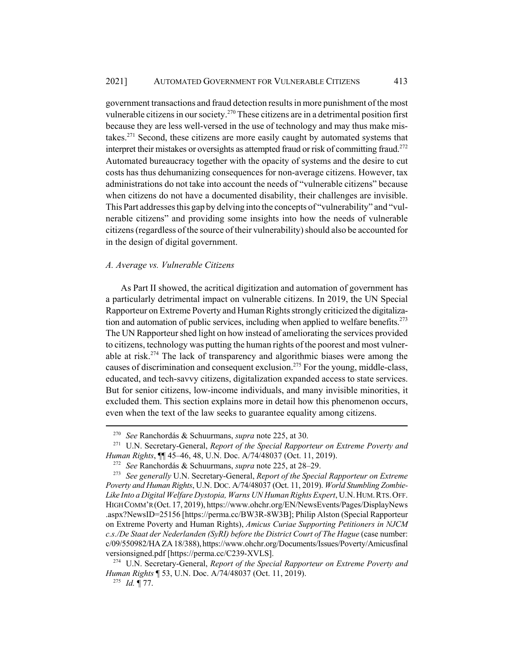government transactions and fraud detection results in more punishment of the most vulnerable citizens in our society.<sup>270</sup> These citizens are in a detrimental position first because they are less well-versed in the use of technology and may thus make mistakes.271 Second, these citizens are more easily caught by automated systems that interpret their mistakes or oversights as attempted fraud or risk of committing fraud.<sup>272</sup> Automated bureaucracy together with the opacity of systems and the desire to cut costs has thus dehumanizing consequences for non-average citizens. However, tax administrations do not take into account the needs of "vulnerable citizens" because when citizens do not have a documented disability, their challenges are invisible. This Part addresses this gap by delving into the concepts of "vulnerability" and "vulnerable citizens" and providing some insights into how the needs of vulnerable citizens (regardless of the source of their vulnerability) should also be accounted for in the design of digital government.

### *A. Average vs. Vulnerable Citizens*

As Part II showed, the acritical digitization and automation of government has a particularly detrimental impact on vulnerable citizens. In 2019, the UN Special Rapporteur on Extreme Poverty and Human Rights strongly criticized the digitalization and automation of public services, including when applied to welfare benefits.<sup> $273$ </sup> The UN Rapporteur shed light on how instead of ameliorating the services provided to citizens, technology was putting the human rights of the poorest and most vulnerable at risk.<sup>274</sup> The lack of transparency and algorithmic biases were among the causes of discrimination and consequent exclusion.275 For the young, middle-class, educated, and tech-savvy citizens, digitalization expanded access to state services. But for senior citizens, low-income individuals, and many invisible minorities, it excluded them. This section explains more in detail how this phenomenon occurs, even when the text of the law seeks to guarantee equality among citizens.

<sup>270</sup> *See* Ranchordás & Schuurmans, *supra* note 225, at 30.

<sup>271</sup> U.N. Secretary-General, *Report of the Special Rapporteur on Extreme Poverty and Human Rights*, ¶¶ 45–46, 48, U.N. Doc. A/74/48037 (Oct. 11, 2019).

<sup>272</sup> *See* Ranchordás & Schuurmans, *supra* note 225, at 28–29.

<sup>273</sup> *See generally* U.N. Secretary-General, *Report of the Special Rapporteur on Extreme Poverty and Human Rights*, U.N. DOC. A/74/48037 (Oct. 11, 2019). *World Stumbling Zombie-Like Into a Digital Welfare Dystopia, Warns UN Human Rights Expert*, U.N.HUM.RTS.OFF. HIGH COMM'R (Oct. 17, 2019), https://www.ohchr.org/EN/NewsEvents/Pages/DisplayNews .aspx?NewsID=25156 [https://perma.cc/BW3R-8W3B]; Philip Alston (Special Rapporteur on Extreme Poverty and Human Rights), *Amicus Curiae Supporting Petitioners in NJCM c.s./De Staat der Nederlanden (SyRI) before the District Court of The Hague* (case number: c/09/550982/HA ZA 18/388), https://www.ohchr.org/Documents/Issues/Poverty/Amicusfinal versionsigned.pdf [https://perma.cc/C239-XVLS].

<sup>274</sup> U.N. Secretary-General, *Report of the Special Rapporteur on Extreme Poverty and Human Rights* ¶ 53, U.N. Doc. A/74/48037 (Oct. 11, 2019).

<sup>275</sup> *Id.* ¶ 77.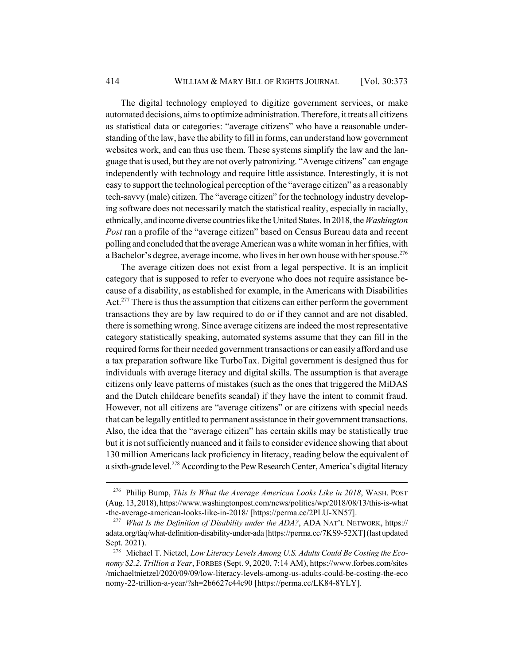The digital technology employed to digitize government services, or make automated decisions, aims to optimize administration. Therefore, it treats all citizens as statistical data or categories: "average citizens" who have a reasonable understanding of the law, have the ability to fill in forms, can understand how government websites work, and can thus use them. These systems simplify the law and the language that is used, but they are not overly patronizing. "Average citizens" can engage independently with technology and require little assistance. Interestingly, it is not easy to support the technological perception of the "average citizen" as a reasonably tech-savvy (male) citizen. The "average citizen" for the technology industry developing software does not necessarily match the statistical reality, especially in racially, ethnically, and income diverse countries like the United States. In 2018, the *Washington Post* ran a profile of the "average citizen" based on Census Bureau data and recent polling and concluded that the average American was a white woman in her fifties, with a Bachelor's degree, average income, who lives in her own house with her spouse.<sup>276</sup>

The average citizen does not exist from a legal perspective. It is an implicit category that is supposed to refer to everyone who does not require assistance because of a disability, as established for example, in the Americans with Disabilities Act.<sup>277</sup> There is thus the assumption that citizens can either perform the government transactions they are by law required to do or if they cannot and are not disabled, there is something wrong. Since average citizens are indeed the most representative category statistically speaking, automated systems assume that they can fill in the required forms for their needed government transactions or can easily afford and use a tax preparation software like TurboTax. Digital government is designed thus for individuals with average literacy and digital skills. The assumption is that average citizens only leave patterns of mistakes (such as the ones that triggered the MiDAS and the Dutch childcare benefits scandal) if they have the intent to commit fraud. However, not all citizens are "average citizens" or are citizens with special needs that can be legally entitled to permanent assistance in their government transactions. Also, the idea that the "average citizen" has certain skills may be statistically true but it is not sufficiently nuanced and it fails to consider evidence showing that about 130 million Americans lack proficiency in literacy, reading below the equivalent of a sixth-grade level.<sup>278</sup> According to the Pew Research Center, America's digital literacy

<sup>276</sup> Philip Bump, *This Is What the Average American Looks Like in 2018*, WASH. POST (Aug. 13, 2018), https://www.washingtonpost.com/news/politics/wp/2018/08/13/this-is-what -the-average-american-looks-like-in-2018/ [https://perma.cc/2PLU-XN57].

<sup>277</sup> *What Is the Definition of Disability under the ADA?*, ADA NAT'L NETWORK, https:// adata.org/faq/what-definition-disability-under-ada [https://perma.cc/7KS9-52XT] (last updated Sept. 2021).

<sup>278</sup> Michael T. Nietzel, *Low Literacy Levels Among U.S. Adults Could Be Costing the Economy \$2.2. Trillion a Year*, FORBES (Sept. 9, 2020, 7:14 AM), https://www.forbes.com/sites /michaeltnietzel/2020/09/09/low-literacy-levels-among-us-adults-could-be-costing-the-eco nomy-22-trillion-a-year/?sh=2b6627c44c90 [https://perma.cc/LK84-8YLY].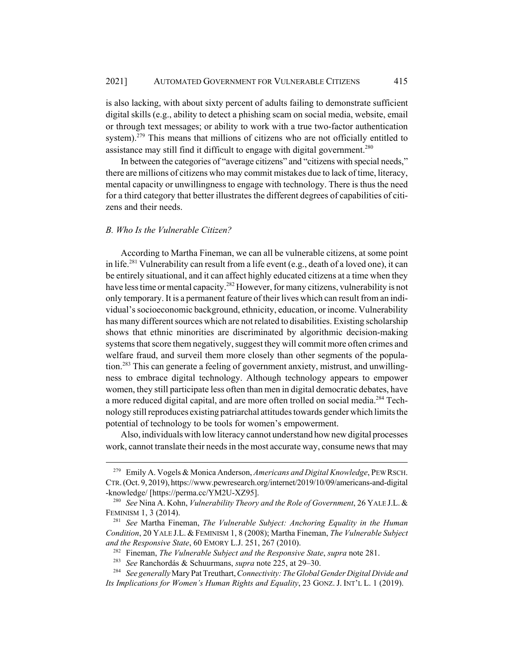is also lacking, with about sixty percent of adults failing to demonstrate sufficient digital skills (e.g., ability to detect a phishing scam on social media, website, email or through text messages; or ability to work with a true two-factor authentication system).<sup>279</sup> This means that millions of citizens who are not officially entitled to assistance may still find it difficult to engage with digital government.<sup>280</sup>

In between the categories of "average citizens" and "citizens with special needs," there are millions of citizens who may commit mistakes due to lack of time, literacy, mental capacity or unwillingness to engage with technology. There is thus the need for a third category that better illustrates the different degrees of capabilities of citizens and their needs.

### *B. Who Is the Vulnerable Citizen?*

According to Martha Fineman, we can all be vulnerable citizens, at some point in life.<sup>281</sup> Vulnerability can result from a life event (e.g., death of a loved one), it can be entirely situational, and it can affect highly educated citizens at a time when they have less time or mental capacity.<sup>282</sup> However, for many citizens, vulnerability is not only temporary. It is a permanent feature of their lives which can result from an individual's socioeconomic background, ethnicity, education, or income. Vulnerability has many different sources which are not related to disabilities. Existing scholarship shows that ethnic minorities are discriminated by algorithmic decision-making systems that score them negatively, suggest they will commit more often crimes and welfare fraud, and surveil them more closely than other segments of the population.<sup>283</sup> This can generate a feeling of government anxiety, mistrust, and unwillingness to embrace digital technology. Although technology appears to empower women, they still participate less often than men in digital democratic debates, have a more reduced digital capital, and are more often trolled on social media.284 Technology still reproduces existing patriarchal attitudes towards gender which limits the potential of technology to be tools for women's empowerment.

Also, individuals with low literacy cannot understand how new digital processes work, cannot translate their needs in the most accurate way, consume news that may

<sup>279</sup> Emily A. Vogels & Monica Anderson, *Americans and Digital Knowledge*, PEW RSCH. CTR. (Oct. 9, 2019), https://www.pewresearch.org/internet/2019/10/09/americans-and-digital -knowledge/ [https://perma.cc/YM2U-XZ95].

<sup>280</sup> *See* Nina A. Kohn, *Vulnerability Theory and the Role of Government*, 26 YALE J.L.& FEMINISM 1, 3 (2014).

<sup>281</sup> *See* Martha Fineman, *The Vulnerable Subject: Anchoring Equality in the Human Condition*, 20 YALE J.L. & FEMINISM 1, 8 (2008); Martha Fineman, *The Vulnerable Subject and the Responsive State*, 60 EMORY L.J. 251, 267 (2010).

<sup>282</sup> Fineman, *The Vulnerable Subject and the Responsive State*, *supra* note 281.

<sup>283</sup> *See* Ranchordás & Schuurmans, *supra* note 225, at 29–30.

<sup>284</sup> *See generally* Mary Pat Treuthart, *Connectivity: The Global Gender Digital Divide and Its Implications for Women's Human Rights and Equality*, 23 GONZ. J. INT'L L. 1 (2019).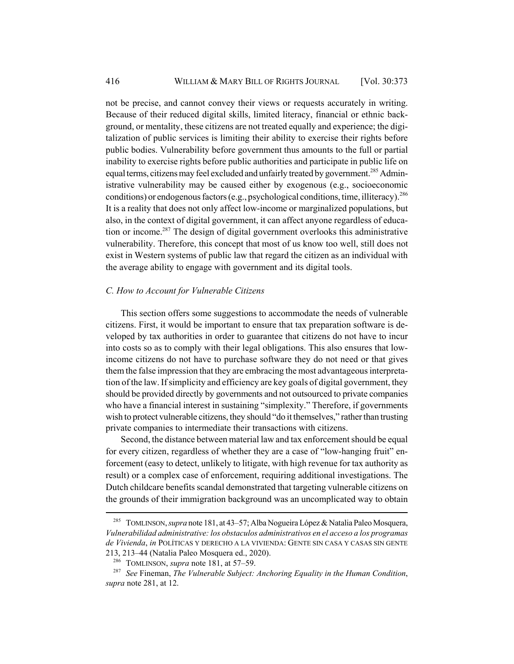not be precise, and cannot convey their views or requests accurately in writing. Because of their reduced digital skills, limited literacy, financial or ethnic background, or mentality, these citizens are not treated equally and experience; the digitalization of public services is limiting their ability to exercise their rights before public bodies. Vulnerability before government thus amounts to the full or partial inability to exercise rights before public authorities and participate in public life on equal terms, citizens may feel excluded and unfairly treated by government.<sup>285</sup> Administrative vulnerability may be caused either by exogenous (e.g., socioeconomic conditions) or endogenous factors (e.g., psychological conditions, time, illiteracy).<sup>286</sup> It is a reality that does not only affect low-income or marginalized populations, but also, in the context of digital government, it can affect anyone regardless of education or income.<sup>287</sup> The design of digital government overlooks this administrative vulnerability. Therefore, this concept that most of us know too well, still does not exist in Western systems of public law that regard the citizen as an individual with the average ability to engage with government and its digital tools.

### *C. How to Account for Vulnerable Citizens*

This section offers some suggestions to accommodate the needs of vulnerable citizens. First, it would be important to ensure that tax preparation software is developed by tax authorities in order to guarantee that citizens do not have to incur into costs so as to comply with their legal obligations. This also ensures that lowincome citizens do not have to purchase software they do not need or that gives them the false impression that they are embracing the most advantageous interpretation of the law. If simplicity and efficiency are key goals of digital government, they should be provided directly by governments and not outsourced to private companies who have a financial interest in sustaining "simplexity." Therefore, if governments wish to protect vulnerable citizens, they should "do it themselves," rather than trusting private companies to intermediate their transactions with citizens.

Second, the distance between material law and tax enforcement should be equal for every citizen, regardless of whether they are a case of "low-hanging fruit" enforcement (easy to detect, unlikely to litigate, with high revenue for tax authority as result) or a complex case of enforcement, requiring additional investigations. The Dutch childcare benefits scandal demonstrated that targeting vulnerable citizens on the grounds of their immigration background was an uncomplicated way to obtain

<sup>285</sup> TOMLINSON, *supra* note 181, at 43–57; Alba Nogueira López & Natalia Paleo Mosquera, *Vulnerabilidad administrative: los obstaculos administrativos en el acceso a los programas de Vivienda*, *in* POLÍTICAS Y DERECHO A LA VIVIENDA: GENTE SIN CASA Y CASAS SIN GENTE 213, 213–44 (Natalia Paleo Mosquera ed., 2020).

<sup>286</sup> TOMLINSON, *supra* note 181, at 57–59.

<sup>287</sup> *See* Fineman, *The Vulnerable Subject: Anchoring Equality in the Human Condition*, *supra* note 281, at 12.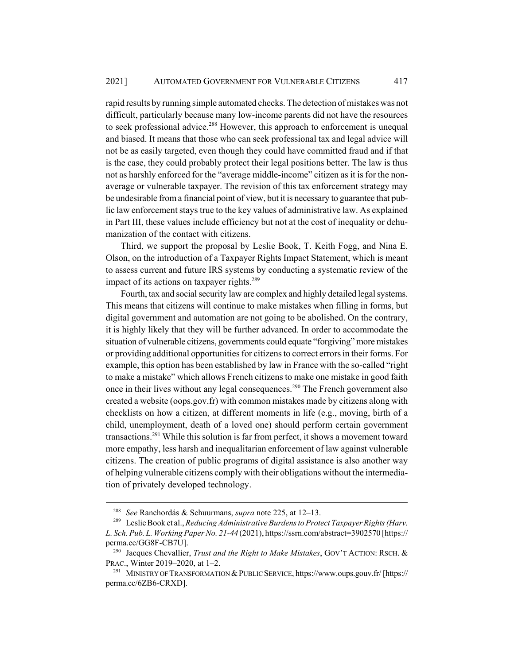rapid results by running simple automated checks. The detection of mistakes was not difficult, particularly because many low-income parents did not have the resources to seek professional advice.<sup>288</sup> However, this approach to enforcement is unequal and biased. It means that those who can seek professional tax and legal advice will not be as easily targeted, even though they could have committed fraud and if that is the case, they could probably protect their legal positions better. The law is thus not as harshly enforced for the "average middle-income" citizen as it is for the nonaverage or vulnerable taxpayer. The revision of this tax enforcement strategy may be undesirable from a financial point of view, but it is necessary to guarantee that public law enforcement stays true to the key values of administrative law. As explained in Part III, these values include efficiency but not at the cost of inequality or dehumanization of the contact with citizens.

Third, we support the proposal by Leslie Book, T. Keith Fogg, and Nina E. Olson, on the introduction of a Taxpayer Rights Impact Statement, which is meant to assess current and future IRS systems by conducting a systematic review of the impact of its actions on taxpayer rights.<sup>289</sup>

Fourth, tax and social security law are complex and highly detailed legal systems. This means that citizens will continue to make mistakes when filling in forms, but digital government and automation are not going to be abolished. On the contrary, it is highly likely that they will be further advanced. In order to accommodate the situation of vulnerable citizens, governments could equate "forgiving" more mistakes or providing additional opportunities for citizens to correct errors in their forms. For example, this option has been established by law in France with the so-called "right to make a mistake" which allows French citizens to make one mistake in good faith once in their lives without any legal consequences.<sup>290</sup> The French government also created a website (oops.gov.fr) with common mistakes made by citizens along with checklists on how a citizen, at different moments in life (e.g., moving, birth of a child, unemployment, death of a loved one) should perform certain government transactions.291 While this solution is far from perfect, it shows a movement toward more empathy, less harsh and inequalitarian enforcement of law against vulnerable citizens. The creation of public programs of digital assistance is also another way of helping vulnerable citizens comply with their obligations without the intermediation of privately developed technology.

<sup>288</sup> *See* Ranchordás & Schuurmans, *supra* note 225, at 12–13.

<sup>289</sup> Leslie Book et al., *Reducing Administrative Burdens to Protect Taxpayer Rights (Harv. L. Sch. Pub. L. Working Paper No. 21-44* (2021), https://ssrn.com/abstract=3902570 [https:// perma.cc/GG8F-CB7U].

<sup>290</sup> Jacques Chevallier, *Trust and the Right to Make Mistakes*, GOV'T ACTION: RSCH. & PRAC., Winter 2019–2020, at 1–2.

<sup>&</sup>lt;sup>291</sup> MINISTRY OF TRANSFORMATION & PUBLIC SERVICE, https://www.oups.gouv.fr/ [https:// perma.cc/6ZB6-CRXD].